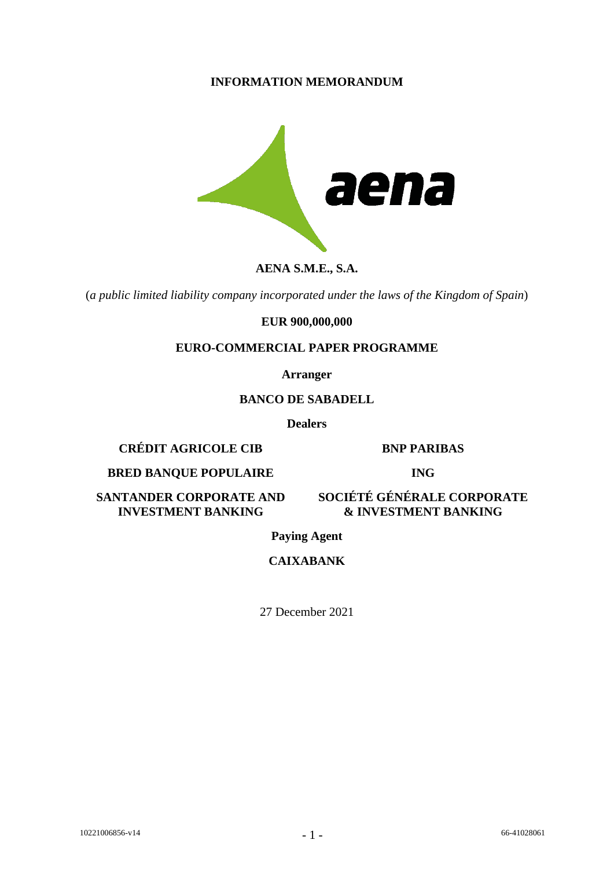## **INFORMATION MEMORANDUM**



## **AENA S.M.E., S.A.**

(*a public limited liability company incorporated under the laws of the Kingdom of Spain*)

#### **EUR 900,000,000**

### **EURO-COMMERCIAL PAPER PROGRAMME**

**Arranger**

#### **BANCO DE SABADELL**

**Dealers**

**CRÉDIT AGRICOLE CIB BNP PARIBAS**

#### **BRED BANQUE POPULAIRE ING**

**SANTANDER CORPORATE AND INVESTMENT BANKING**

**SOCIÉTÉ GÉNÉRALE CORPORATE & INVESTMENT BANKING**

**Paying Agent**

**CAIXABANK**

27 December 2021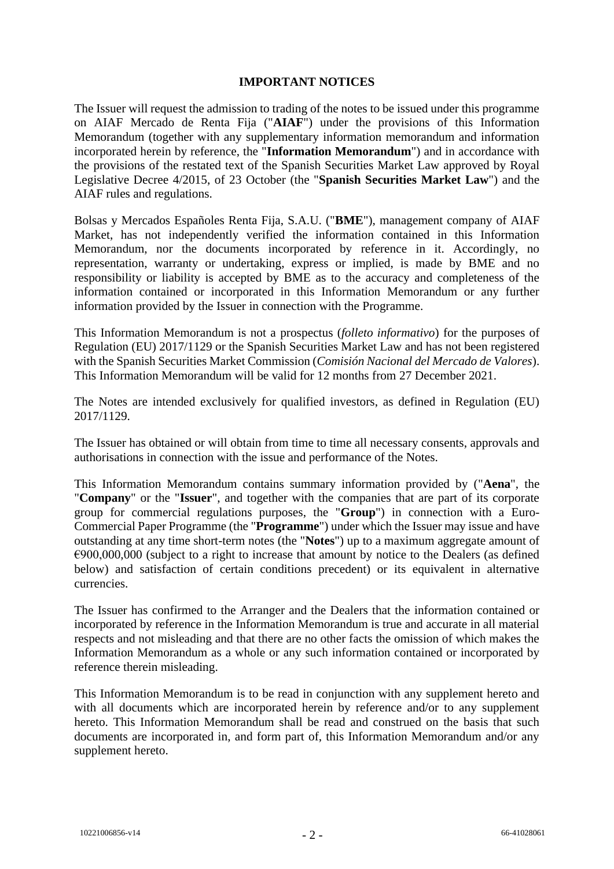### **IMPORTANT NOTICES**

The Issuer will request the admission to trading of the notes to be issued under this programme on AIAF Mercado de Renta Fija ("**AIAF**") under the provisions of this Information Memorandum (together with any supplementary information memorandum and information incorporated herein by reference, the "**Information Memorandum**") and in accordance with the provisions of the restated text of the Spanish Securities Market Law approved by Royal Legislative Decree 4/2015, of 23 October (the "**Spanish Securities Market Law**") and the AIAF rules and regulations.

Bolsas y Mercados Españoles Renta Fija, S.A.U. ("**BME**"), management company of AIAF Market, has not independently verified the information contained in this Information Memorandum, nor the documents incorporated by reference in it. Accordingly, no representation, warranty or undertaking, express or implied, is made by BME and no responsibility or liability is accepted by BME as to the accuracy and completeness of the information contained or incorporated in this Information Memorandum or any further information provided by the Issuer in connection with the Programme.

This Information Memorandum is not a prospectus (*folleto informativo*) for the purposes of Regulation (EU) 2017/1129 or the Spanish Securities Market Law and has not been registered with the Spanish Securities Market Commission (*Comisión Nacional del Mercado de Valores*). This Information Memorandum will be valid for 12 months from 27 December 2021.

The Notes are intended exclusively for qualified investors, as defined in Regulation (EU) 2017/1129.

The Issuer has obtained or will obtain from time to time all necessary consents, approvals and authorisations in connection with the issue and performance of the Notes.

This Information Memorandum contains summary information provided by ("**Aena**", the "**Company**" or the "**Issuer**", and together with the companies that are part of its corporate group for commercial regulations purposes, the "**Group**") in connection with a Euro-Commercial Paper Programme (the "**Programme**") under which the Issuer may issue and have outstanding at any time short-term notes (the "**Notes**") up to a maximum aggregate amount of  $€900,000,000$  (subject to a right to increase that amount by notice to the Dealers (as defined below) and satisfaction of certain conditions precedent) or its equivalent in alternative currencies.

The Issuer has confirmed to the Arranger and the Dealers that the information contained or incorporated by reference in the Information Memorandum is true and accurate in all material respects and not misleading and that there are no other facts the omission of which makes the Information Memorandum as a whole or any such information contained or incorporated by reference therein misleading.

This Information Memorandum is to be read in conjunction with any supplement hereto and with all documents which are incorporated herein by reference and/or to any supplement hereto. This Information Memorandum shall be read and construed on the basis that such documents are incorporated in, and form part of, this Information Memorandum and/or any supplement hereto.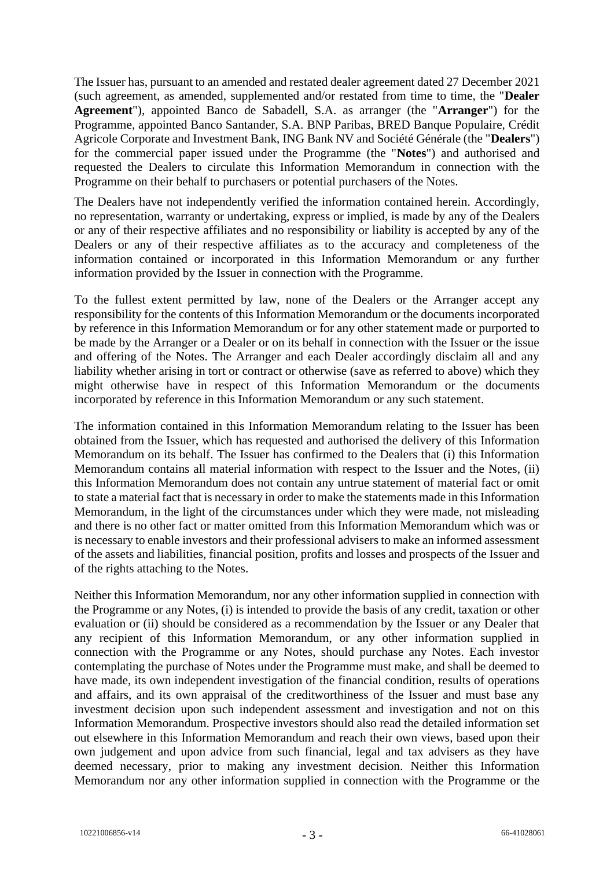The Issuer has, pursuant to an amended and restated dealer agreement dated 27 December 2021 (such agreement, as amended, supplemented and/or restated from time to time, the "**Dealer Agreement**"), appointed Banco de Sabadell, S.A. as arranger (the "**Arranger**") for the Programme, appointed Banco Santander, S.A. BNP Paribas, BRED Banque Populaire, Crédit Agricole Corporate and Investment Bank, ING Bank NV and Société Générale (the "**Dealers**") for the commercial paper issued under the Programme (the "**Notes**") and authorised and requested the Dealers to circulate this Information Memorandum in connection with the Programme on their behalf to purchasers or potential purchasers of the Notes.

The Dealers have not independently verified the information contained herein. Accordingly, no representation, warranty or undertaking, express or implied, is made by any of the Dealers or any of their respective affiliates and no responsibility or liability is accepted by any of the Dealers or any of their respective affiliates as to the accuracy and completeness of the information contained or incorporated in this Information Memorandum or any further information provided by the Issuer in connection with the Programme.

To the fullest extent permitted by law, none of the Dealers or the Arranger accept any responsibility for the contents of this Information Memorandum or the documents incorporated by reference in this Information Memorandum or for any other statement made or purported to be made by the Arranger or a Dealer or on its behalf in connection with the Issuer or the issue and offering of the Notes. The Arranger and each Dealer accordingly disclaim all and any liability whether arising in tort or contract or otherwise (save as referred to above) which they might otherwise have in respect of this Information Memorandum or the documents incorporated by reference in this Information Memorandum or any such statement.

The information contained in this Information Memorandum relating to the Issuer has been obtained from the Issuer, which has requested and authorised the delivery of this Information Memorandum on its behalf. The Issuer has confirmed to the Dealers that (i) this Information Memorandum contains all material information with respect to the Issuer and the Notes, (ii) this Information Memorandum does not contain any untrue statement of material fact or omit to state a material fact that is necessary in order to make the statements made in this Information Memorandum, in the light of the circumstances under which they were made, not misleading and there is no other fact or matter omitted from this Information Memorandum which was or is necessary to enable investors and their professional advisers to make an informed assessment of the assets and liabilities, financial position, profits and losses and prospects of the Issuer and of the rights attaching to the Notes.

Neither this Information Memorandum, nor any other information supplied in connection with the Programme or any Notes, (i) is intended to provide the basis of any credit, taxation or other evaluation or (ii) should be considered as a recommendation by the Issuer or any Dealer that any recipient of this Information Memorandum, or any other information supplied in connection with the Programme or any Notes, should purchase any Notes. Each investor contemplating the purchase of Notes under the Programme must make, and shall be deemed to have made, its own independent investigation of the financial condition, results of operations and affairs, and its own appraisal of the creditworthiness of the Issuer and must base any investment decision upon such independent assessment and investigation and not on this Information Memorandum. Prospective investors should also read the detailed information set out elsewhere in this Information Memorandum and reach their own views, based upon their own judgement and upon advice from such financial, legal and tax advisers as they have deemed necessary, prior to making any investment decision. Neither this Information Memorandum nor any other information supplied in connection with the Programme or the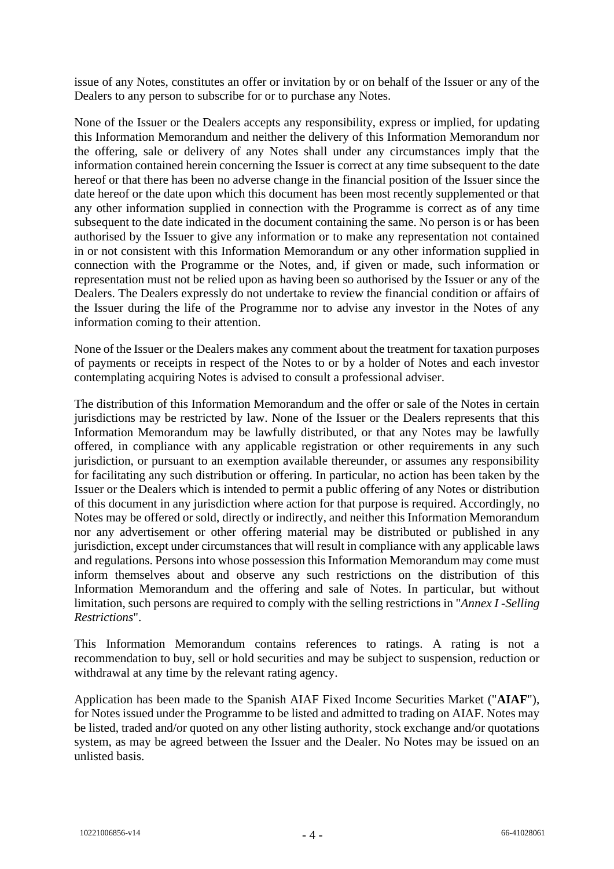issue of any Notes, constitutes an offer or invitation by or on behalf of the Issuer or any of the Dealers to any person to subscribe for or to purchase any Notes.

None of the Issuer or the Dealers accepts any responsibility, express or implied, for updating this Information Memorandum and neither the delivery of this Information Memorandum nor the offering, sale or delivery of any Notes shall under any circumstances imply that the information contained herein concerning the Issuer is correct at any time subsequent to the date hereof or that there has been no adverse change in the financial position of the Issuer since the date hereof or the date upon which this document has been most recently supplemented or that any other information supplied in connection with the Programme is correct as of any time subsequent to the date indicated in the document containing the same. No person is or has been authorised by the Issuer to give any information or to make any representation not contained in or not consistent with this Information Memorandum or any other information supplied in connection with the Programme or the Notes, and, if given or made, such information or representation must not be relied upon as having been so authorised by the Issuer or any of the Dealers. The Dealers expressly do not undertake to review the financial condition or affairs of the Issuer during the life of the Programme nor to advise any investor in the Notes of any information coming to their attention.

None of the Issuer or the Dealers makes any comment about the treatment for taxation purposes of payments or receipts in respect of the Notes to or by a holder of Notes and each investor contemplating acquiring Notes is advised to consult a professional adviser.

The distribution of this Information Memorandum and the offer or sale of the Notes in certain jurisdictions may be restricted by law. None of the Issuer or the Dealers represents that this Information Memorandum may be lawfully distributed, or that any Notes may be lawfully offered, in compliance with any applicable registration or other requirements in any such jurisdiction, or pursuant to an exemption available thereunder, or assumes any responsibility for facilitating any such distribution or offering. In particular, no action has been taken by the Issuer or the Dealers which is intended to permit a public offering of any Notes or distribution of this document in any jurisdiction where action for that purpose is required. Accordingly, no Notes may be offered or sold, directly or indirectly, and neither this Information Memorandum nor any advertisement or other offering material may be distributed or published in any jurisdiction, except under circumstances that will result in compliance with any applicable laws and regulations. Persons into whose possession this Information Memorandum may come must inform themselves about and observe any such restrictions on the distribution of this Information Memorandum and the offering and sale of Notes. In particular, but without limitation, such persons are required to comply with the selling restrictions in "*Annex I -Selling Restrictions*".

This Information Memorandum contains references to ratings. A rating is not a recommendation to buy, sell or hold securities and may be subject to suspension, reduction or withdrawal at any time by the relevant rating agency.

Application has been made to the Spanish AIAF Fixed Income Securities Market ("**AIAF**"), for Notes issued under the Programme to be listed and admitted to trading on AIAF. Notes may be listed, traded and/or quoted on any other listing authority, stock exchange and/or quotations system, as may be agreed between the Issuer and the Dealer. No Notes may be issued on an unlisted basis.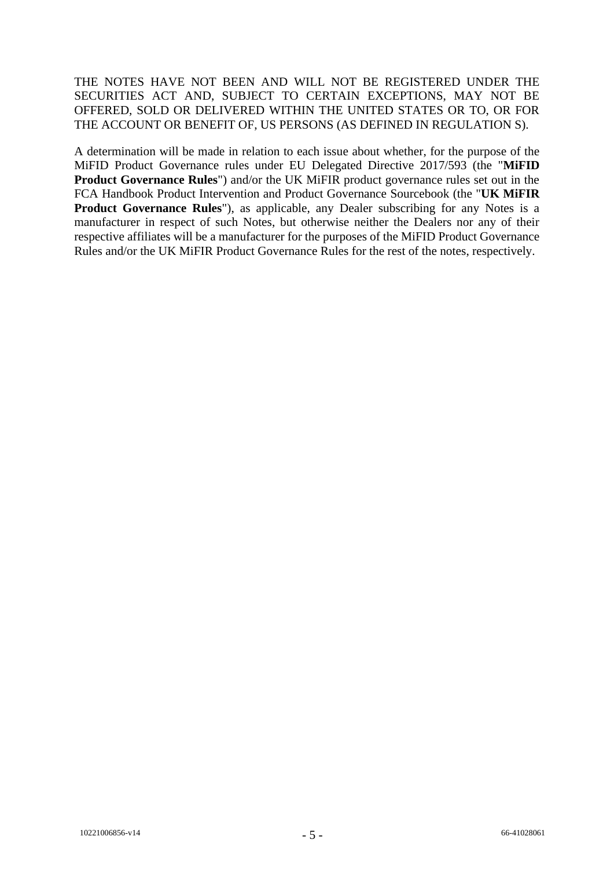THE NOTES HAVE NOT BEEN AND WILL NOT BE REGISTERED UNDER THE SECURITIES ACT AND, SUBJECT TO CERTAIN EXCEPTIONS, MAY NOT BE OFFERED, SOLD OR DELIVERED WITHIN THE UNITED STATES OR TO, OR FOR THE ACCOUNT OR BENEFIT OF, US PERSONS (AS DEFINED IN REGULATION S).

A determination will be made in relation to each issue about whether, for the purpose of the MiFID Product Governance rules under EU Delegated Directive 2017/593 (the "**MiFID Product Governance Rules**") and/or the UK MiFIR product governance rules set out in the FCA Handbook Product Intervention and Product Governance Sourcebook (the "**UK MiFIR Product Governance Rules**"), as applicable, any Dealer subscribing for any Notes is a manufacturer in respect of such Notes, but otherwise neither the Dealers nor any of their respective affiliates will be a manufacturer for the purposes of the MiFID Product Governance Rules and/or the UK MiFIR Product Governance Rules for the rest of the notes, respectively.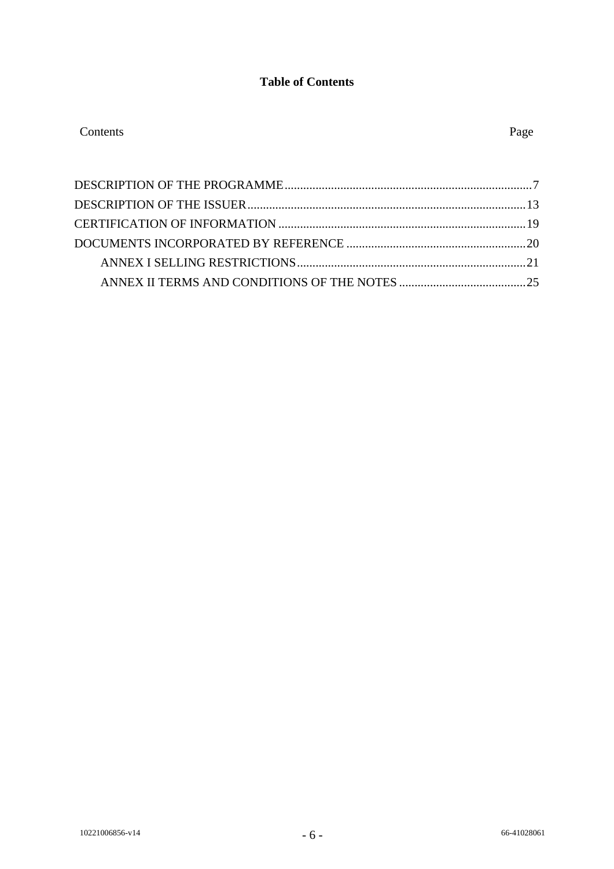# **Table of Contents**

| Contents | Page |
|----------|------|
|----------|------|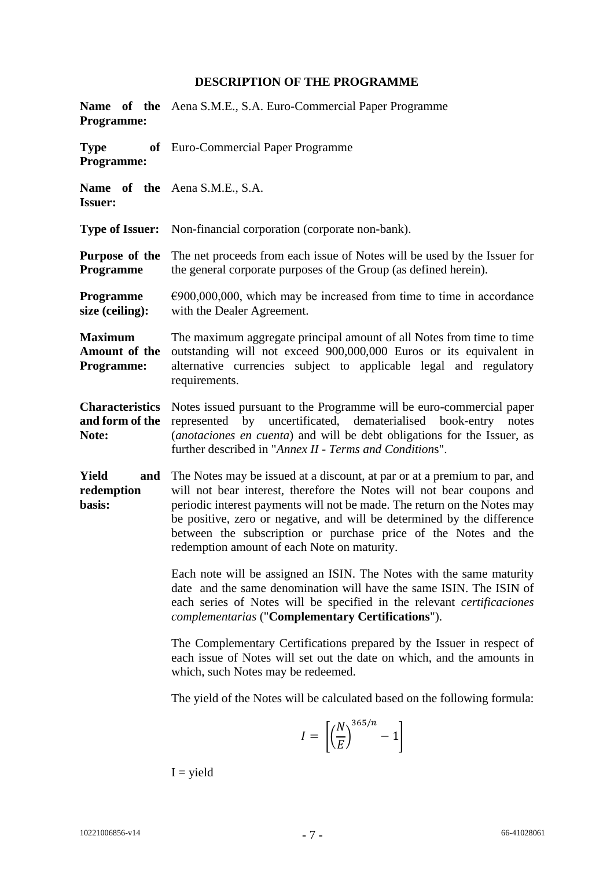# **DESCRIPTION OF THE PROGRAMME**

<span id="page-6-0"></span>

| <b>Programme:</b>                                  | <b>Name</b> of the Aena S.M.E., S.A. Euro-Commercial Paper Programme                                                                                                                                                                                                                                                                                                                                                        |
|----------------------------------------------------|-----------------------------------------------------------------------------------------------------------------------------------------------------------------------------------------------------------------------------------------------------------------------------------------------------------------------------------------------------------------------------------------------------------------------------|
| <b>Type</b><br><b>Programme:</b>                   | of Euro-Commercial Paper Programme                                                                                                                                                                                                                                                                                                                                                                                          |
| <b>Issuer:</b>                                     | Name of the Aena S.M.E., S.A.                                                                                                                                                                                                                                                                                                                                                                                               |
| <b>Type of Issuer:</b>                             | Non-financial corporation (corporate non-bank).                                                                                                                                                                                                                                                                                                                                                                             |
| Purpose of the<br>Programme                        | The net proceeds from each issue of Notes will be used by the Issuer for<br>the general corporate purposes of the Group (as defined herein).                                                                                                                                                                                                                                                                                |
| Programme<br>size (ceiling):                       | $\epsilon$ 900,000,000, which may be increased from time to time in accordance<br>with the Dealer Agreement.                                                                                                                                                                                                                                                                                                                |
| <b>Maximum</b><br>Amount of the<br>Programme:      | The maximum aggregate principal amount of all Notes from time to time<br>outstanding will not exceed 900,000,000 Euros or its equivalent in<br>alternative currencies subject to applicable legal and regulatory<br>requirements.                                                                                                                                                                                           |
| <b>Characteristics</b><br>and form of the<br>Note: | Notes issued pursuant to the Programme will be euro-commercial paper<br>represented by uncertificated, dematerialised book-entry<br>notes<br>(anotaciones en cuenta) and will be debt obligations for the Issuer, as<br>further described in "Annex II - Terms and Conditions".                                                                                                                                             |
| <b>Yield</b><br>and<br>redemption<br>basis:        | The Notes may be issued at a discount, at par or at a premium to par, and<br>will not bear interest, therefore the Notes will not bear coupons and<br>periodic interest payments will not be made. The return on the Notes may<br>be positive, zero or negative, and will be determined by the difference<br>between the subscription or purchase price of the Notes and the<br>redemption amount of each Note on maturity. |
|                                                    | Each note will be assigned an ISIN. The Notes with the same maturity<br>date and the same denomination will have the same ISIN. The ISIN of<br>each series of Notes will be specified in the relevant <i>certificaciones</i><br>complementarias ("Complementary Certifications").                                                                                                                                           |
|                                                    | The Complementary Certifications prepared by the Issuer in respect of<br>each issue of Notes will set out the date on which, and the amounts in<br>which, such Notes may be redeemed.                                                                                                                                                                                                                                       |
|                                                    | The yield of the Notes will be calculated based on the following formula:                                                                                                                                                                                                                                                                                                                                                   |
|                                                    | $I = \left  \left( \frac{N}{E} \right)^{563/n} - 1 \right $                                                                                                                                                                                                                                                                                                                                                                 |

 $I = yield$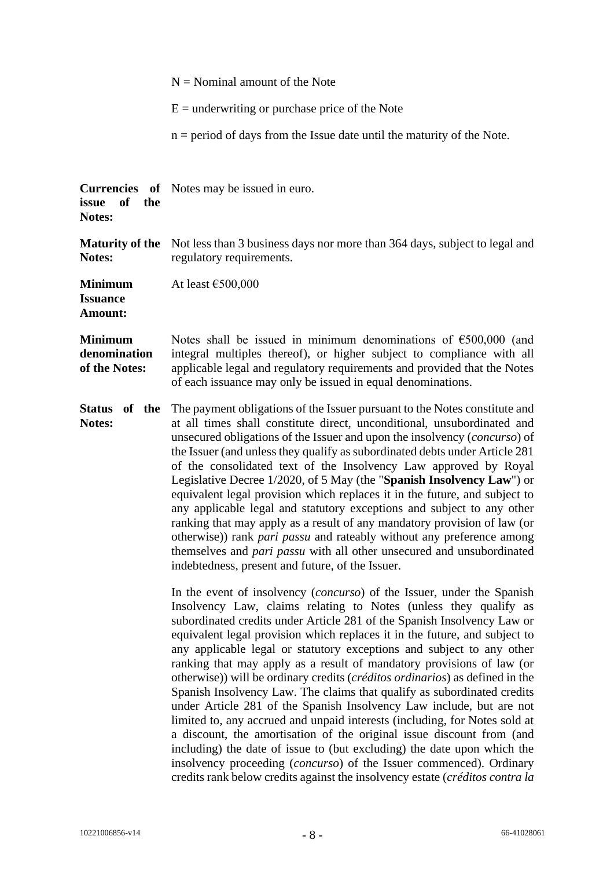|                                                 | $N =$ Nominal amount of the Note                                                                                                                                                                                                                                                                                                                                                                                                                                                                                                                                                                                                                                                                                                                                                                                                                                                                                                                                                                                                                                                           |
|-------------------------------------------------|--------------------------------------------------------------------------------------------------------------------------------------------------------------------------------------------------------------------------------------------------------------------------------------------------------------------------------------------------------------------------------------------------------------------------------------------------------------------------------------------------------------------------------------------------------------------------------------------------------------------------------------------------------------------------------------------------------------------------------------------------------------------------------------------------------------------------------------------------------------------------------------------------------------------------------------------------------------------------------------------------------------------------------------------------------------------------------------------|
|                                                 | $E =$ underwriting or purchase price of the Note                                                                                                                                                                                                                                                                                                                                                                                                                                                                                                                                                                                                                                                                                                                                                                                                                                                                                                                                                                                                                                           |
|                                                 | $n = period$ of days from the Issue date until the maturity of the Note.                                                                                                                                                                                                                                                                                                                                                                                                                                                                                                                                                                                                                                                                                                                                                                                                                                                                                                                                                                                                                   |
| of<br>the<br>issue<br>Notes:                    | <b>Currencies</b> of Notes may be issued in euro.                                                                                                                                                                                                                                                                                                                                                                                                                                                                                                                                                                                                                                                                                                                                                                                                                                                                                                                                                                                                                                          |
| <b>Maturity of the</b><br>Notes:                | Not less than 3 business days nor more than 364 days, subject to legal and<br>regulatory requirements.                                                                                                                                                                                                                                                                                                                                                                                                                                                                                                                                                                                                                                                                                                                                                                                                                                                                                                                                                                                     |
| <b>Minimum</b><br><b>Issuance</b><br>Amount:    | At least $€500,000$                                                                                                                                                                                                                                                                                                                                                                                                                                                                                                                                                                                                                                                                                                                                                                                                                                                                                                                                                                                                                                                                        |
| <b>Minimum</b><br>denomination<br>of the Notes: | Notes shall be issued in minimum denominations of $\epsilon$ 500,000 (and<br>integral multiples thereof), or higher subject to compliance with all<br>applicable legal and regulatory requirements and provided that the Notes<br>of each issuance may only be issued in equal denominations.                                                                                                                                                                                                                                                                                                                                                                                                                                                                                                                                                                                                                                                                                                                                                                                              |
| Status of the<br>Notes:                         | The payment obligations of the Issuer pursuant to the Notes constitute and<br>at all times shall constitute direct, unconditional, unsubordinated and<br>unsecured obligations of the Issuer and upon the insolvency (concurso) of<br>the Issuer (and unless they qualify as subordinated debts under Article 281<br>of the consolidated text of the Insolvency Law approved by Royal<br>Legislative Decree 1/2020, of 5 May (the "Spanish Insolvency Law") or<br>equivalent legal provision which replaces it in the future, and subject to<br>any applicable legal and statutory exceptions and subject to any other<br>ranking that may apply as a result of any mandatory provision of law (or<br>otherwise)) rank pari passu and rateably without any preference among<br>themselves and <i>pari passu</i> with all other unsecured and unsubordinated<br>indebtedness, present and future, of the Issuer.                                                                                                                                                                            |
|                                                 | In the event of insolvency ( <i>concurso</i> ) of the Issuer, under the Spanish<br>Insolvency Law, claims relating to Notes (unless they qualify as<br>subordinated credits under Article 281 of the Spanish Insolvency Law or<br>equivalent legal provision which replaces it in the future, and subject to<br>any applicable legal or statutory exceptions and subject to any other<br>ranking that may apply as a result of mandatory provisions of law (or<br>otherwise)) will be ordinary credits (créditos ordinarios) as defined in the<br>Spanish Insolvency Law. The claims that qualify as subordinated credits<br>under Article 281 of the Spanish Insolvency Law include, but are not<br>limited to, any accrued and unpaid interests (including, for Notes sold at<br>a discount, the amortisation of the original issue discount from (and<br>including) the date of issue to (but excluding) the date upon which the<br>insolvency proceeding (concurso) of the Issuer commenced). Ordinary<br>credits rank below credits against the insolvency estate (créditos contra la |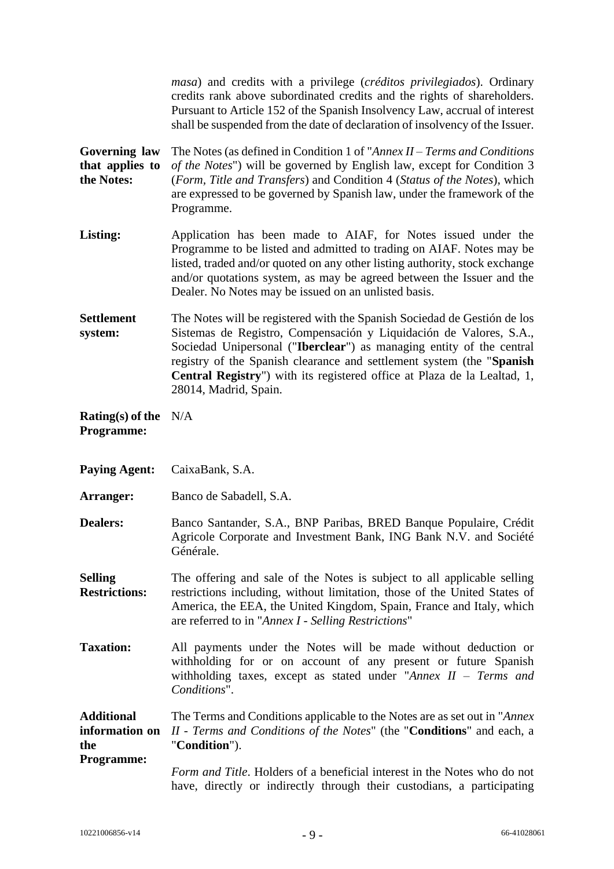*masa*) and credits with a privilege (*créditos privilegiados*). Ordinary credits rank above subordinated credits and the rights of shareholders. Pursuant to Article 152 of the Spanish Insolvency Law, accrual of interest shall be suspended from the date of declaration of insolvency of the Issuer.

**Governing law that applies to the Notes:** The Notes (as defined in Condition 1 of "*Annex II – Terms and Conditions of the Notes*") will be governed by English law, except for Condition 3 (*Form, Title and Transfers*) and Condition 4 (*Status of the Notes*), which are expressed to be governed by Spanish law, under the framework of the Programme.

**Listing:** Application has been made to AIAF, for Notes issued under the Programme to be listed and admitted to trading on AIAF. Notes may be listed, traded and/or quoted on any other listing authority, stock exchange and/or quotations system, as may be agreed between the Issuer and the Dealer. No Notes may be issued on an unlisted basis.

**Settlement system:** The Notes will be registered with the Spanish Sociedad de Gestión de los Sistemas de Registro, Compensación y Liquidación de Valores, S.A., Sociedad Unipersonal ("**Iberclear**") as managing entity of the central registry of the Spanish clearance and settlement system (the "**Spanish Central Registry**") with its registered office at Plaza de la Lealtad, 1, 28014, Madrid, Spain.

- **Rating(s) of the**  N/A **Programme:**
- **Paying Agent:** CaixaBank, S.A.
- **Arranger:** Banco de Sabadell, S.A.
- **Dealers:** Banco Santander, S.A., BNP Paribas, BRED Banque Populaire, Crédit Agricole Corporate and Investment Bank, ING Bank N.V. and Société Générale.
- **Selling Restrictions:** The offering and sale of the Notes is subject to all applicable selling restrictions including, without limitation, those of the United States of America, the EEA, the United Kingdom, Spain, France and Italy, which are referred to in "*Annex I - Selling Restrictions*"
- **Taxation:** All payments under the Notes will be made without deduction or withholding for or on account of any present or future Spanish withholding taxes, except as stated under "*Annex II – Terms and Conditions*".

**Additional information on the Programme:** The Terms and Conditions applicable to the Notes are as set out in "*Annex II - Terms and Conditions of the Notes*" (the "**Conditions**" and each, a "**Condition**").

*Form and Title*. Holders of a beneficial interest in the Notes who do not have, directly or indirectly through their custodians, a participating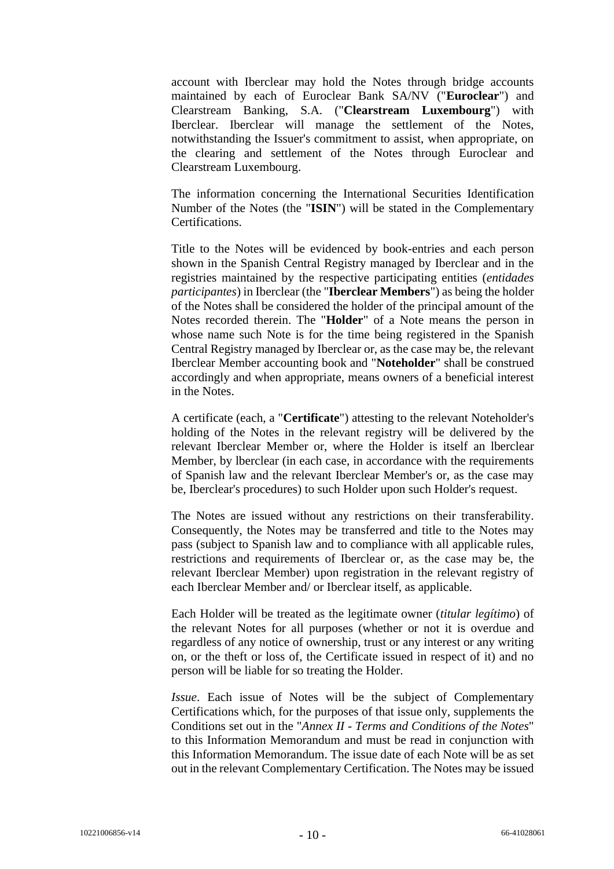account with Iberclear may hold the Notes through bridge accounts maintained by each of Euroclear Bank SA/NV ("**Euroclear**") and Clearstream Banking, S.A. ("**Clearstream Luxembourg**") with Iberclear. Iberclear will manage the settlement of the Notes, notwithstanding the Issuer's commitment to assist, when appropriate, on the clearing and settlement of the Notes through Euroclear and Clearstream Luxembourg.

The information concerning the International Securities Identification Number of the Notes (the "**ISIN**") will be stated in the Complementary Certifications.

Title to the Notes will be evidenced by book-entries and each person shown in the Spanish Central Registry managed by Iberclear and in the registries maintained by the respective participating entities (*entidades participantes*) in Iberclear (the "**Iberclear Members**") as being the holder of the Notes shall be considered the holder of the principal amount of the Notes recorded therein. The "**Holder**" of a Note means the person in whose name such Note is for the time being registered in the Spanish Central Registry managed by Iberclear or, as the case may be, the relevant Iberclear Member accounting book and "**Noteholder**" shall be construed accordingly and when appropriate, means owners of a beneficial interest in the Notes.

A certificate (each, a "**Certificate**") attesting to the relevant Noteholder's holding of the Notes in the relevant registry will be delivered by the relevant Iberclear Member or, where the Holder is itself an lberclear Member, by lberclear (in each case, in accordance with the requirements of Spanish law and the relevant Iberclear Member's or, as the case may be, Iberclear's procedures) to such Holder upon such Holder's request.

The Notes are issued without any restrictions on their transferability. Consequently, the Notes may be transferred and title to the Notes may pass (subject to Spanish law and to compliance with all applicable rules, restrictions and requirements of Iberclear or, as the case may be, the relevant Iberclear Member) upon registration in the relevant registry of each Iberclear Member and/ or Iberclear itself, as applicable.

Each Holder will be treated as the legitimate owner (*titular legítimo*) of the relevant Notes for all purposes (whether or not it is overdue and regardless of any notice of ownership, trust or any interest or any writing on, or the theft or loss of, the Certificate issued in respect of it) and no person will be liable for so treating the Holder.

*Issue*. Each issue of Notes will be the subject of Complementary Certifications which, for the purposes of that issue only, supplements the Conditions set out in the "*Annex II - Terms and Conditions of the Notes*" to this Information Memorandum and must be read in conjunction with this Information Memorandum. The issue date of each Note will be as set out in the relevant Complementary Certification. The Notes may be issued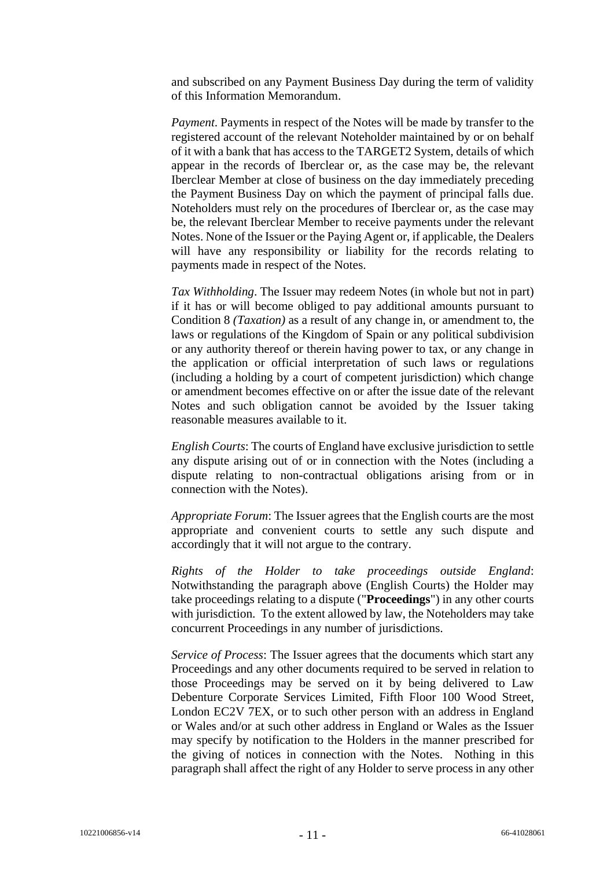and subscribed on any Payment Business Day during the term of validity of this Information Memorandum.

*Payment*. Payments in respect of the Notes will be made by transfer to the registered account of the relevant Noteholder maintained by or on behalf of it with a bank that has access to the TARGET2 System, details of which appear in the records of Iberclear or, as the case may be, the relevant Iberclear Member at close of business on the day immediately preceding the Payment Business Day on which the payment of principal falls due. Noteholders must rely on the procedures of Iberclear or, as the case may be, the relevant Iberclear Member to receive payments under the relevant Notes. None of the Issuer or the Paying Agent or, if applicable, the Dealers will have any responsibility or liability for the records relating to payments made in respect of the Notes.

*Tax Withholding*. The Issuer may redeem Notes (in whole but not in part) if it has or will become obliged to pay additional amounts pursuant to Condition 8 *(Taxation)* as a result of any change in, or amendment to, the laws or regulations of the Kingdom of Spain or any political subdivision or any authority thereof or therein having power to tax, or any change in the application or official interpretation of such laws or regulations (including a holding by a court of competent jurisdiction) which change or amendment becomes effective on or after the issue date of the relevant Notes and such obligation cannot be avoided by the Issuer taking reasonable measures available to it.

*English Courts*: The courts of England have exclusive jurisdiction to settle any dispute arising out of or in connection with the Notes (including a dispute relating to non-contractual obligations arising from or in connection with the Notes).

*Appropriate Forum*: The Issuer agrees that the English courts are the most appropriate and convenient courts to settle any such dispute and accordingly that it will not argue to the contrary.

*Rights of the Holder to take proceedings outside England*: Notwithstanding the paragraph above (English Courts) the Holder may take proceedings relating to a dispute ("**Proceedings**") in any other courts with jurisdiction. To the extent allowed by law, the Noteholders may take concurrent Proceedings in any number of jurisdictions.

*Service of Process*: The Issuer agrees that the documents which start any Proceedings and any other documents required to be served in relation to those Proceedings may be served on it by being delivered to Law Debenture Corporate Services Limited, Fifth Floor 100 Wood Street, London EC2V 7EX, or to such other person with an address in England or Wales and/or at such other address in England or Wales as the Issuer may specify by notification to the Holders in the manner prescribed for the giving of notices in connection with the Notes. Nothing in this paragraph shall affect the right of any Holder to serve process in any other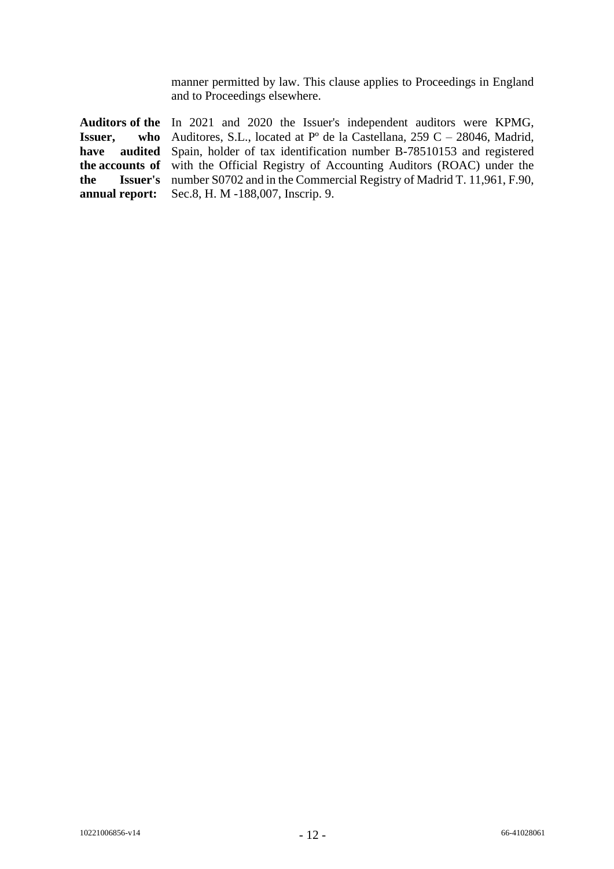manner permitted by law. This clause applies to Proceedings in England and to Proceedings elsewhere.

**Auditors of the**  In 2021 and 2020 the Issuer's independent auditors were KPMG, **Issuer, have audited**  Spain, holder of tax identification number B-78510153 and registered **the accounts of**  with the Official Registry of Accounting Auditors (ROAC) under the **the Issuer's**  number S0702 and in the Commercial Registry of Madrid T. 11,961, F.90, **annual report:** who Auditores, S.L., located at  $P^{\circ}$  de la Castellana, 259 C – 28046, Madrid, Sec.8, H. M -188,007, Inscrip. 9.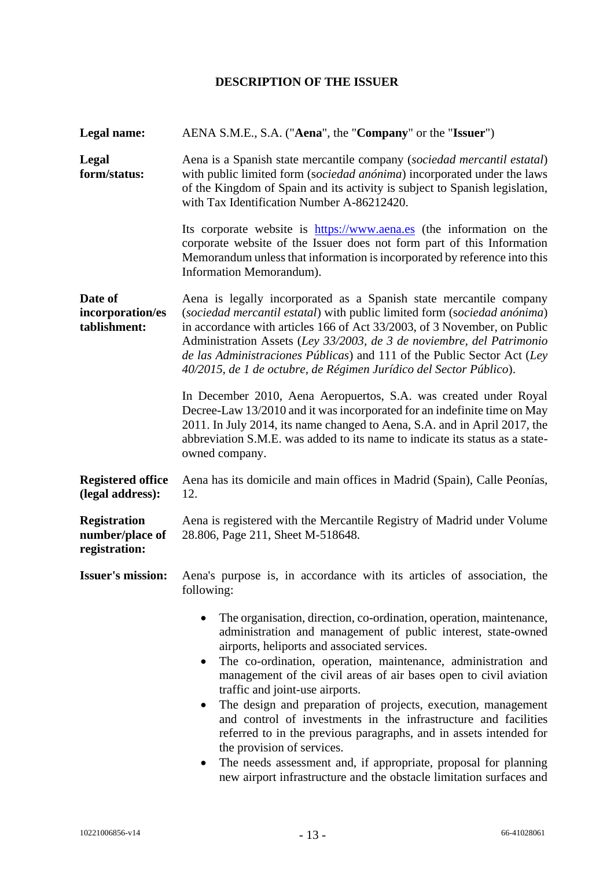# **DESCRIPTION OF THE ISSUER**

<span id="page-12-0"></span>

| Legal name:                                             | AENA S.M.E., S.A. ("Aena", the "Company" or the "Issuer")                                                                                                                                                                                                                                                                                                                                                                                                                                                                                                                                                                                                                                                                                       |  |
|---------------------------------------------------------|-------------------------------------------------------------------------------------------------------------------------------------------------------------------------------------------------------------------------------------------------------------------------------------------------------------------------------------------------------------------------------------------------------------------------------------------------------------------------------------------------------------------------------------------------------------------------------------------------------------------------------------------------------------------------------------------------------------------------------------------------|--|
| Legal<br>form/status:                                   | Aena is a Spanish state mercantile company (sociedad mercantil estatal)<br>with public limited form (sociedad anónima) incorporated under the laws<br>of the Kingdom of Spain and its activity is subject to Spanish legislation,<br>with Tax Identification Number A-86212420.                                                                                                                                                                                                                                                                                                                                                                                                                                                                 |  |
|                                                         | Its corporate website is https://www.aena.es (the information on the<br>corporate website of the Issuer does not form part of this Information<br>Memorandum unless that information is incorporated by reference into this<br>Information Memorandum).                                                                                                                                                                                                                                                                                                                                                                                                                                                                                         |  |
| Date of<br>incorporation/es<br>tablishment:             | Aena is legally incorporated as a Spanish state mercantile company<br>(sociedad mercantil estatal) with public limited form (sociedad anónima)<br>in accordance with articles 166 of Act 33/2003, of 3 November, on Public<br>Administration Assets (Ley 33/2003, de 3 de noviembre, del Patrimonio<br>de las Administraciones Públicas) and 111 of the Public Sector Act (Ley<br>40/2015, de 1 de octubre, de Régimen Jurídico del Sector Público).                                                                                                                                                                                                                                                                                            |  |
|                                                         | In December 2010, Aena Aeropuertos, S.A. was created under Royal<br>Decree-Law 13/2010 and it was incorporated for an indefinite time on May<br>2011. In July 2014, its name changed to Aena, S.A. and in April 2017, the<br>abbreviation S.M.E. was added to its name to indicate its status as a state-<br>owned company.                                                                                                                                                                                                                                                                                                                                                                                                                     |  |
| <b>Registered office</b><br>(legal address):            | Aena has its domicile and main offices in Madrid (Spain), Calle Peonías,<br>12.                                                                                                                                                                                                                                                                                                                                                                                                                                                                                                                                                                                                                                                                 |  |
| <b>Registration</b><br>number/place of<br>registration: | Aena is registered with the Mercantile Registry of Madrid under Volume<br>28.806, Page 211, Sheet M-518648.                                                                                                                                                                                                                                                                                                                                                                                                                                                                                                                                                                                                                                     |  |
| <b>Issuer's mission:</b>                                | Aena's purpose is, in accordance with its articles of association, the<br>following:                                                                                                                                                                                                                                                                                                                                                                                                                                                                                                                                                                                                                                                            |  |
|                                                         | The organisation, direction, co-ordination, operation, maintenance,<br>administration and management of public interest, state-owned<br>airports, heliports and associated services.<br>The co-ordination, operation, maintenance, administration and<br>management of the civil areas of air bases open to civil aviation<br>traffic and joint-use airports.<br>The design and preparation of projects, execution, management<br>and control of investments in the infrastructure and facilities<br>referred to in the previous paragraphs, and in assets intended for<br>the provision of services.<br>The needs assessment and, if appropriate, proposal for planning<br>new airport infrastructure and the obstacle limitation surfaces and |  |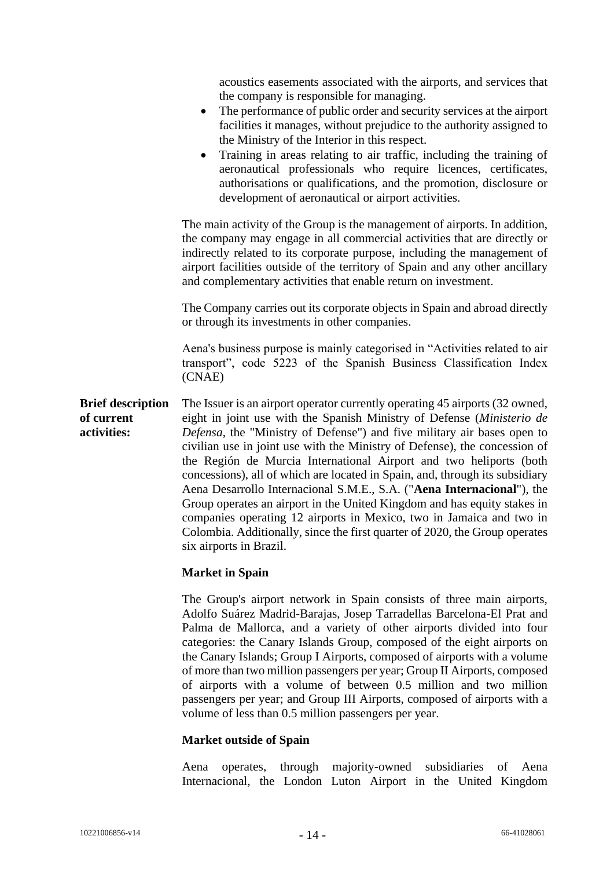|                                                       | acoustics easements associated with the airports, and services that<br>the company is responsible for managing.<br>The performance of public order and security services at the airport<br>facilities it manages, without prejudice to the authority assigned to<br>the Ministry of the Interior in this respect.<br>Training in areas relating to air traffic, including the training of<br>$\bullet$<br>aeronautical professionals who require licences, certificates,                                                                                                                                                                                                                                                                                                                                      |
|-------------------------------------------------------|---------------------------------------------------------------------------------------------------------------------------------------------------------------------------------------------------------------------------------------------------------------------------------------------------------------------------------------------------------------------------------------------------------------------------------------------------------------------------------------------------------------------------------------------------------------------------------------------------------------------------------------------------------------------------------------------------------------------------------------------------------------------------------------------------------------|
|                                                       | authorisations or qualifications, and the promotion, disclosure or<br>development of aeronautical or airport activities.                                                                                                                                                                                                                                                                                                                                                                                                                                                                                                                                                                                                                                                                                      |
|                                                       | The main activity of the Group is the management of airports. In addition,<br>the company may engage in all commercial activities that are directly or<br>indirectly related to its corporate purpose, including the management of<br>airport facilities outside of the territory of Spain and any other ancillary<br>and complementary activities that enable return on investment.                                                                                                                                                                                                                                                                                                                                                                                                                          |
|                                                       | The Company carries out its corporate objects in Spain and abroad directly<br>or through its investments in other companies.                                                                                                                                                                                                                                                                                                                                                                                                                                                                                                                                                                                                                                                                                  |
|                                                       | Aena's business purpose is mainly categorised in "Activities related to air<br>transport", code 5223 of the Spanish Business Classification Index<br>(CNAE)                                                                                                                                                                                                                                                                                                                                                                                                                                                                                                                                                                                                                                                   |
| <b>Brief description</b><br>of current<br>activities: | The Issuer is an airport operator currently operating 45 airports (32 owned,<br>eight in joint use with the Spanish Ministry of Defense (Ministerio de<br>Defensa, the "Ministry of Defense") and five military air bases open to<br>civilian use in joint use with the Ministry of Defense), the concession of<br>the Región de Murcia International Airport and two heliports (both<br>concessions), all of which are located in Spain, and, through its subsidiary<br>Aena Desarrollo Internacional S.M.E., S.A. ("Aena Internacional"), the<br>Group operates an airport in the United Kingdom and has equity stakes in<br>companies operating 12 airports in Mexico, two in Jamaica and two in<br>Colombia. Additionally, since the first quarter of 2020, the Group operates<br>six airports in Brazil. |
|                                                       | <b>Market in Spain</b>                                                                                                                                                                                                                                                                                                                                                                                                                                                                                                                                                                                                                                                                                                                                                                                        |
|                                                       | The Group's airport network in Spain consists of three main airports,<br>Adolfo Suárez Madrid-Barajas, Josep Tarradellas Barcelona-El Prat and<br>Palma de Mallorca, and a variety of other airports divided into four                                                                                                                                                                                                                                                                                                                                                                                                                                                                                                                                                                                        |

Adolfo Suárez Madrid-Barajas, Josep Tarradellas Barcelona-El Prat and Palma de Mallorca, and a variety of other airports divided into four categories: the Canary Islands Group, composed of the eight airports on the Canary Islands; Group I Airports, composed of airports with a volume of more than two million passengers per year; Group II Airports, composed of airports with a volume of between 0.5 million and two million passengers per year; and Group III Airports, composed of airports with a volume of less than 0.5 million passengers per year.

#### **Market outside of Spain**

Aena operates, through majority-owned subsidiaries of Aena Internacional, the London Luton Airport in the United Kingdom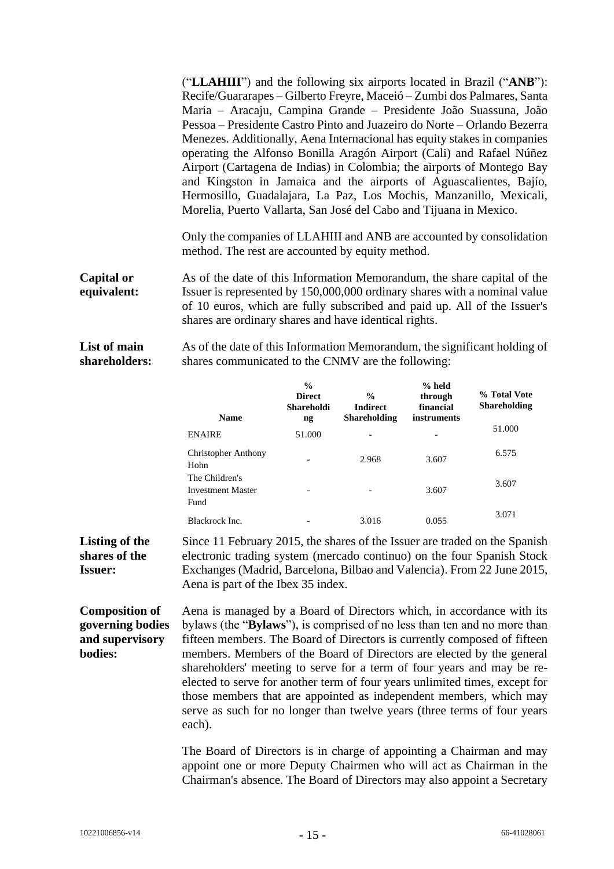("**LLAHIII**") and the following six airports located in Brazil ("**ANB**"): Recife/Guararapes – Gilberto Freyre, Maceió – Zumbi dos Palmares, Santa Maria – Aracaju, Campina Grande – Presidente João Suassuna, João Pessoa – Presidente Castro Pinto and Juazeiro do Norte – Orlando Bezerra Menezes. Additionally, Aena Internacional has equity stakes in companies operating the Alfonso Bonilla Aragón Airport (Cali) and Rafael Núñez Airport (Cartagena de Indias) in Colombia; the airports of Montego Bay and Kingston in Jamaica and the airports of Aguascalientes, Bajío, Hermosillo, Guadalajara, La Paz, Los Mochis, Manzanillo, Mexicali, Morelia, Puerto Vallarta, San José del Cabo and Tijuana in Mexico.

Only the companies of LLAHIII and ANB are accounted by consolidation method. The rest are accounted by equity method.

**Capital or equivalent:** As of the date of this Information Memorandum, the share capital of the Issuer is represented by 150,000,000 ordinary shares with a nominal value of 10 euros, which are fully subscribed and paid up. All of the Issuer's shares are ordinary shares and have identical rights.

**List of main shareholders:** As of the date of this Information Memorandum, the significant holding of shares communicated to the CNMV are the following:

| <b>Name</b>                                        | $\frac{0}{0}$<br><b>Direct</b><br>Shareholdi<br>ng | $\frac{6}{9}$<br><b>Indirect</b><br><b>Shareholding</b> | $%$ held<br>through<br>financial<br><i>instruments</i> | % Total Vote<br><b>Shareholding</b> |
|----------------------------------------------------|----------------------------------------------------|---------------------------------------------------------|--------------------------------------------------------|-------------------------------------|
| <b>ENAIRE</b>                                      | 51.000                                             | $\overline{\phantom{0}}$                                |                                                        | 51.000                              |
| <b>Christopher Anthony</b><br>Hohn                 | $\overline{\phantom{0}}$                           | 2.968                                                   | 3.607                                                  | 6.575                               |
| The Children's<br><b>Investment Master</b><br>Fund |                                                    | $\overline{\phantom{0}}$                                | 3.607                                                  | 3.607                               |
| Blackrock Inc.                                     |                                                    | 3.016                                                   | 0.055                                                  | 3.071                               |

**Listing of the shares of the Issuer:** Since 11 February 2015, the shares of the Issuer are traded on the Spanish electronic trading system (mercado continuo) on the four Spanish Stock Exchanges (Madrid, Barcelona, Bilbao and Valencia). From 22 June 2015, Aena is part of the Ibex 35 index.

**Composition of governing bodies and supervisory bodies:** Aena is managed by a Board of Directors which, in accordance with its bylaws (the "**Bylaws**"), is comprised of no less than ten and no more than fifteen members. The Board of Directors is currently composed of fifteen members. Members of the Board of Directors are elected by the general shareholders' meeting to serve for a term of four years and may be reelected to serve for another term of four years unlimited times, except for those members that are appointed as independent members, which may serve as such for no longer than twelve years (three terms of four years each).

> The Board of Directors is in charge of appointing a Chairman and may appoint one or more Deputy Chairmen who will act as Chairman in the Chairman's absence. The Board of Directors may also appoint a Secretary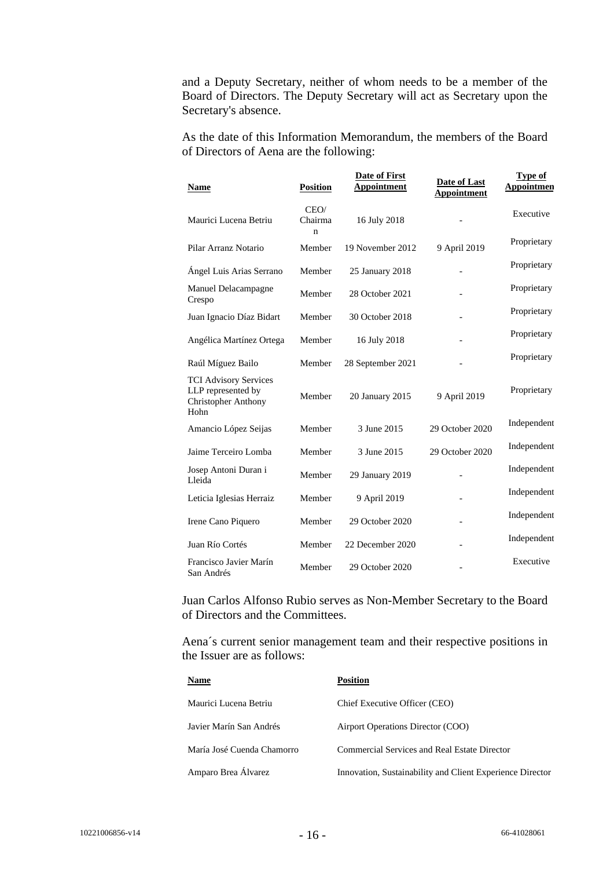and a Deputy Secretary, neither of whom needs to be a member of the Board of Directors. The Deputy Secretary will act as Secretary upon the Secretary's absence.

As the date of this Information Memorandum, the members of the Board of Directors of Aena are the following:

| <b>Name</b>                                                                              | <b>Position</b>      | <b>Date of First</b><br><b>Appointment</b> | Date of Last<br><b>Appointment</b> | <b>Type of</b><br>Appointmen |
|------------------------------------------------------------------------------------------|----------------------|--------------------------------------------|------------------------------------|------------------------------|
| Maurici Lucena Betriu                                                                    | CEO/<br>Chairma<br>n | 16 July 2018                               |                                    | Executive                    |
| Pilar Arranz Notario                                                                     | Member               | 19 November 2012                           | 9 April 2019                       | Proprietary                  |
| Ángel Luis Arias Serrano                                                                 | Member               | 25 January 2018                            |                                    | Proprietary                  |
| Manuel Delacampagne<br>Crespo                                                            | Member               | 28 October 2021                            |                                    | Proprietary                  |
| Juan Ignacio Díaz Bidart                                                                 | Member               | 30 October 2018                            | $\overline{a}$                     | Proprietary                  |
| Angélica Martínez Ortega                                                                 | Member               | 16 July 2018                               |                                    | Proprietary                  |
| Raúl Míguez Bailo                                                                        | Member               | 28 September 2021                          |                                    | Proprietary                  |
| <b>TCI Advisory Services</b><br>LLP represented by<br><b>Christopher Anthony</b><br>Hohn | Member               | 20 January 2015                            | 9 April 2019                       | Proprietary                  |
| Amancio López Seijas                                                                     | Member               | 3 June 2015                                | 29 October 2020                    | Independent                  |
| Jaime Terceiro Lomba                                                                     | Member               | 3 June 2015                                | 29 October 2020                    | Independent                  |
| Josep Antoni Duran i<br>Lleida                                                           | Member               | 29 January 2019                            |                                    | Independent                  |
| Leticia Iglesias Herraiz                                                                 | Member               | 9 April 2019                               |                                    | Independent                  |
| Irene Cano Piquero                                                                       | Member               | 29 October 2020                            | $\overline{a}$                     | Independent                  |
| Juan Río Cortés                                                                          | Member               | 22 December 2020                           |                                    | Independent                  |
| Francisco Javier Marín<br>San Andrés                                                     | Member               | 29 October 2020                            |                                    | Executive                    |

Juan Carlos Alfonso Rubio serves as Non-Member Secretary to the Board of Directors and the Committees.

Aena´s current senior management team and their respective positions in the Issuer are as follows:

| <b>Name</b>                | <b>Position</b>                                           |
|----------------------------|-----------------------------------------------------------|
| Maurici Lucena Betriu      | Chief Executive Officer (CEO)                             |
| Javier Marín San Andrés    | Airport Operations Director (COO)                         |
| María José Cuenda Chamorro | Commercial Services and Real Estate Director              |
| Amparo Brea Álvarez        | Innovation, Sustainability and Client Experience Director |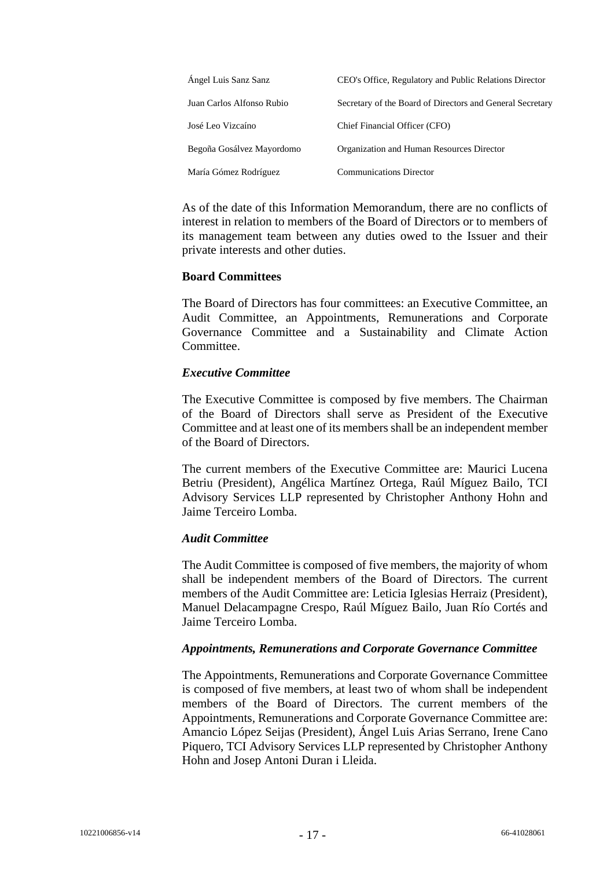| Ángel Luis Sanz Sanz      | CEO's Office, Regulatory and Public Relations Director    |
|---------------------------|-----------------------------------------------------------|
| Juan Carlos Alfonso Rubio | Secretary of the Board of Directors and General Secretary |
| José Leo Vizcaíno         | Chief Financial Officer (CFO)                             |
| Begoña Gosálvez Mayordomo | Organization and Human Resources Director                 |
| María Gómez Rodríguez     | <b>Communications Director</b>                            |

As of the date of this Information Memorandum, there are no conflicts of interest in relation to members of the Board of Directors or to members of its management team between any duties owed to the Issuer and their private interests and other duties.

#### **Board Committees**

The Board of Directors has four committees: an Executive Committee, an Audit Committee, an Appointments, Remunerations and Corporate Governance Committee and a Sustainability and Climate Action Committee.

#### *Executive Committee*

The Executive Committee is composed by five members. The Chairman of the Board of Directors shall serve as President of the Executive Committee and at least one of its members shall be an independent member of the Board of Directors.

The current members of the Executive Committee are: Maurici Lucena Betriu (President), Angélica Martínez Ortega, Raúl Míguez Bailo, TCI Advisory Services LLP represented by Christopher Anthony Hohn and Jaime Terceiro Lomba.

#### *Audit Committee*

The Audit Committee is composed of five members, the majority of whom shall be independent members of the Board of Directors. The current members of the Audit Committee are: Leticia Iglesias Herraiz (President), Manuel Delacampagne Crespo, Raúl Míguez Bailo, Juan Río Cortés and Jaime Terceiro Lomba.

#### *Appointments, Remunerations and Corporate Governance Committee*

The Appointments*,* Remunerations and Corporate Governance Committee is composed of five members, at least two of whom shall be independent members of the Board of Directors. The current members of the Appointments*,* Remunerations and Corporate Governance Committee are: Amancio López Seijas (President), Ángel Luis Arias Serrano, Irene Cano Piquero, TCI Advisory Services LLP represented by Christopher Anthony Hohn and Josep Antoni Duran i Lleida.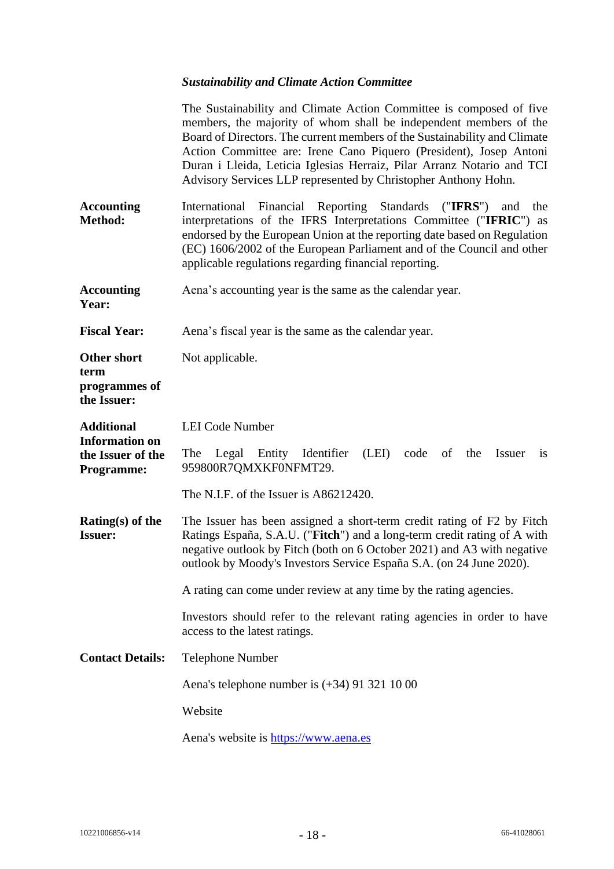# *Sustainability and Climate Action Committee*

|                                                                 | The Sustainability and Climate Action Committee is composed of five<br>members, the majority of whom shall be independent members of the<br>Board of Directors. The current members of the Sustainability and Climate<br>Action Committee are: Irene Cano Piquero (President), Josep Antoni<br>Duran i Lleida, Leticia Iglesias Herraiz, Pilar Arranz Notario and TCI<br>Advisory Services LLP represented by Christopher Anthony Hohn. |
|-----------------------------------------------------------------|-----------------------------------------------------------------------------------------------------------------------------------------------------------------------------------------------------------------------------------------------------------------------------------------------------------------------------------------------------------------------------------------------------------------------------------------|
| <b>Accounting</b><br>Method:                                    | (''IFRS")<br>International Financial Reporting Standards<br>and<br>the<br>interpretations of the IFRS Interpretations Committee ("IFRIC") as<br>endorsed by the European Union at the reporting date based on Regulation<br>(EC) 1606/2002 of the European Parliament and of the Council and other<br>applicable regulations regarding financial reporting.                                                                             |
| <b>Accounting</b><br>Year:                                      | Aena's accounting year is the same as the calendar year.                                                                                                                                                                                                                                                                                                                                                                                |
| <b>Fiscal Year:</b>                                             | Aena's fiscal year is the same as the calendar year.                                                                                                                                                                                                                                                                                                                                                                                    |
| <b>Other short</b><br>term<br>programmes of<br>the Issuer:      | Not applicable.                                                                                                                                                                                                                                                                                                                                                                                                                         |
| <b>Additional</b>                                               | <b>LEI Code Number</b>                                                                                                                                                                                                                                                                                                                                                                                                                  |
| <b>Information on</b><br>the Issuer of the<br><b>Programme:</b> | The<br>Legal Entity Identifier<br>(LEI)<br>code<br>of<br>the<br><b>Issuer</b><br>1S<br>959800R7QMXKF0NFMT29.                                                                                                                                                                                                                                                                                                                            |
|                                                                 | The N.I.F. of the Issuer is A86212420.                                                                                                                                                                                                                                                                                                                                                                                                  |
| Rating $(s)$ of the<br><b>Issuer:</b>                           | The Issuer has been assigned a short-term credit rating of F2 by Fitch<br>Ratings España, S.A.U. ("Fitch") and a long-term credit rating of A with<br>negative outlook by Fitch (both on 6 October 2021) and A3 with negative<br>outlook by Moody's Investors Service España S.A. (on 24 June 2020).                                                                                                                                    |
|                                                                 | A rating can come under review at any time by the rating agencies.                                                                                                                                                                                                                                                                                                                                                                      |
|                                                                 | Investors should refer to the relevant rating agencies in order to have<br>access to the latest ratings.                                                                                                                                                                                                                                                                                                                                |
| <b>Contact Details:</b>                                         | Telephone Number                                                                                                                                                                                                                                                                                                                                                                                                                        |
|                                                                 | Aena's telephone number is $(+34)$ 91 321 10 00                                                                                                                                                                                                                                                                                                                                                                                         |
|                                                                 | Website                                                                                                                                                                                                                                                                                                                                                                                                                                 |
|                                                                 | Aena's website is https://www.aena.es                                                                                                                                                                                                                                                                                                                                                                                                   |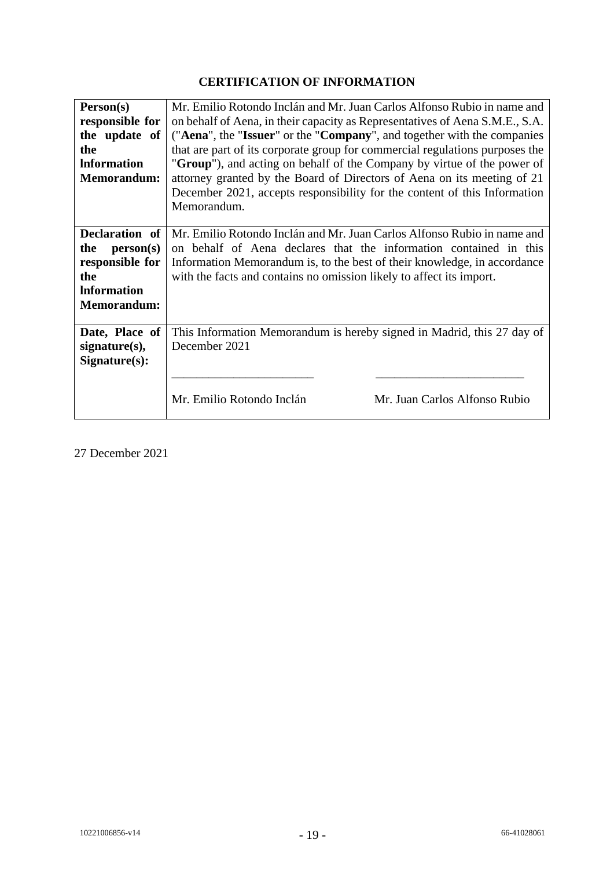# **CERTIFICATION OF INFORMATION**

<span id="page-18-0"></span>

| Person(s)<br>responsible for<br>the update of<br>the<br><b>Information</b><br><b>Memorandum:</b>                | Mr. Emilio Rotondo Inclán and Mr. Juan Carlos Alfonso Rubio in name and<br>on behalf of Aena, in their capacity as Representatives of Aena S.M.E., S.A.<br>("Aena", the "Issuer" or the "Company", and together with the companies<br>that are part of its corporate group for commercial regulations purposes the<br>"Group"), and acting on behalf of the Company by virtue of the power of<br>attorney granted by the Board of Directors of Aena on its meeting of 21<br>December 2021, accepts responsibility for the content of this Information<br>Memorandum. |
|-----------------------------------------------------------------------------------------------------------------|----------------------------------------------------------------------------------------------------------------------------------------------------------------------------------------------------------------------------------------------------------------------------------------------------------------------------------------------------------------------------------------------------------------------------------------------------------------------------------------------------------------------------------------------------------------------|
| <b>Declaration</b> of<br>the<br>person(s)<br>responsible for<br>the<br><b>Information</b><br><b>Memorandum:</b> | Mr. Emilio Rotondo Inclán and Mr. Juan Carlos Alfonso Rubio in name and<br>on behalf of Aena declares that the information contained in this<br>Information Memorandum is, to the best of their knowledge, in accordance<br>with the facts and contains no omission likely to affect its import.                                                                                                                                                                                                                                                                     |
| Date, Place of<br>signature(s),<br>Signature(s):                                                                | This Information Memorandum is hereby signed in Madrid, this 27 day of<br>December 2021                                                                                                                                                                                                                                                                                                                                                                                                                                                                              |
|                                                                                                                 | Mr. Emilio Rotondo Inclán<br>Mr. Juan Carlos Alfonso Rubio                                                                                                                                                                                                                                                                                                                                                                                                                                                                                                           |

27 December 2021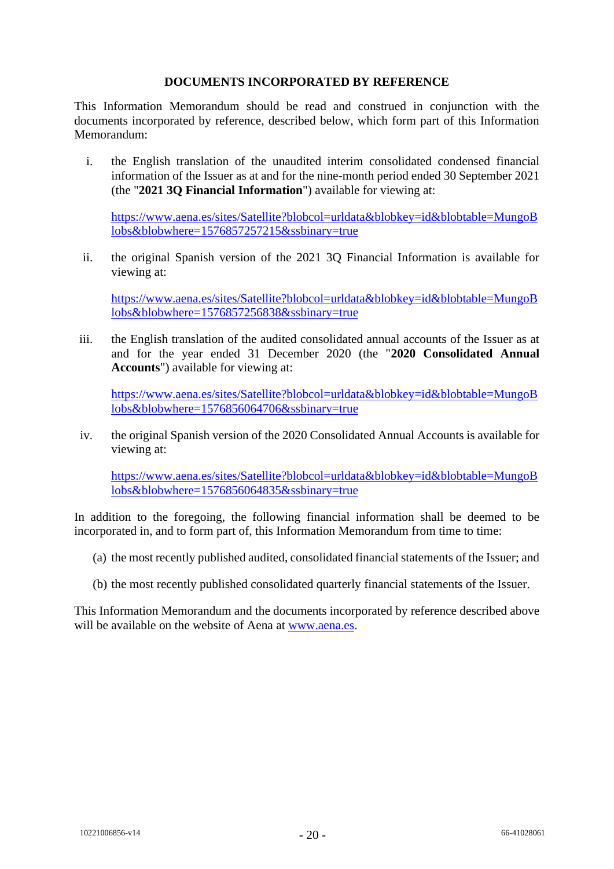### **DOCUMENTS INCORPORATED BY REFERENCE**

<span id="page-19-0"></span>This Information Memorandum should be read and construed in conjunction with the documents incorporated by reference, described below, which form part of this Information Memorandum:

i. the English translation of the unaudited interim consolidated condensed financial information of the Issuer as at and for the nine-month period ended 30 September 2021 (the "**2021 3Q Financial Information**") available for viewing at:

[https://www.aena.es/sites/Satellite?blobcol=urldata&blobkey=id&blobtable=MungoB](https://www.aena.es/sites/Satellite?blobcol=urldata&blobkey=id&blobtable=MungoBlobs&blobwhere=1576857257215&ssbinary=true) [lobs&blobwhere=1576857257215&ssbinary=true](https://www.aena.es/sites/Satellite?blobcol=urldata&blobkey=id&blobtable=MungoBlobs&blobwhere=1576857257215&ssbinary=true)

ii. the original Spanish version of the 2021 3Q Financial Information is available for viewing at:

[https://www.aena.es/sites/Satellite?blobcol=urldata&blobkey=id&blobtable=MungoB](https://www.aena.es/sites/Satellite?blobcol=urldata&blobkey=id&blobtable=MungoBlobs&blobwhere=1576857256838&ssbinary=true) [lobs&blobwhere=1576857256838&ssbinary=true](https://www.aena.es/sites/Satellite?blobcol=urldata&blobkey=id&blobtable=MungoBlobs&blobwhere=1576857256838&ssbinary=true)

iii. the English translation of the audited consolidated annual accounts of the Issuer as at and for the year ended 31 December 2020 (the "**2020 Consolidated Annual Accounts**") available for viewing at:

[https://www.aena.es/sites/Satellite?blobcol=urldata&blobkey=id&blobtable=MungoB](https://www.aena.es/sites/Satellite?blobcol=urldata&blobkey=id&blobtable=MungoBlobs&blobwhere=1576856064706&ssbinary=true) [lobs&blobwhere=1576856064706&ssbinary=true](https://www.aena.es/sites/Satellite?blobcol=urldata&blobkey=id&blobtable=MungoBlobs&blobwhere=1576856064706&ssbinary=true)

iv. the original Spanish version of the 2020 Consolidated Annual Accounts is available for viewing at:

[https://www.aena.es/sites/Satellite?blobcol=urldata&blobkey=id&blobtable=MungoB](https://www.aena.es/sites/Satellite?blobcol=urldata&blobkey=id&blobtable=MungoBlobs&blobwhere=1576856064835&ssbinary=true) [lobs&blobwhere=1576856064835&ssbinary=true](https://www.aena.es/sites/Satellite?blobcol=urldata&blobkey=id&blobtable=MungoBlobs&blobwhere=1576856064835&ssbinary=true)

In addition to the foregoing, the following financial information shall be deemed to be incorporated in, and to form part of, this Information Memorandum from time to time:

- (a) the most recently published audited, consolidated financial statements of the Issuer; and
- (b) the most recently published consolidated quarterly financial statements of the Issuer.

This Information Memorandum and the documents incorporated by reference described above will be available on the website of Aena at [www.aena.es.](http://www.aena.es/)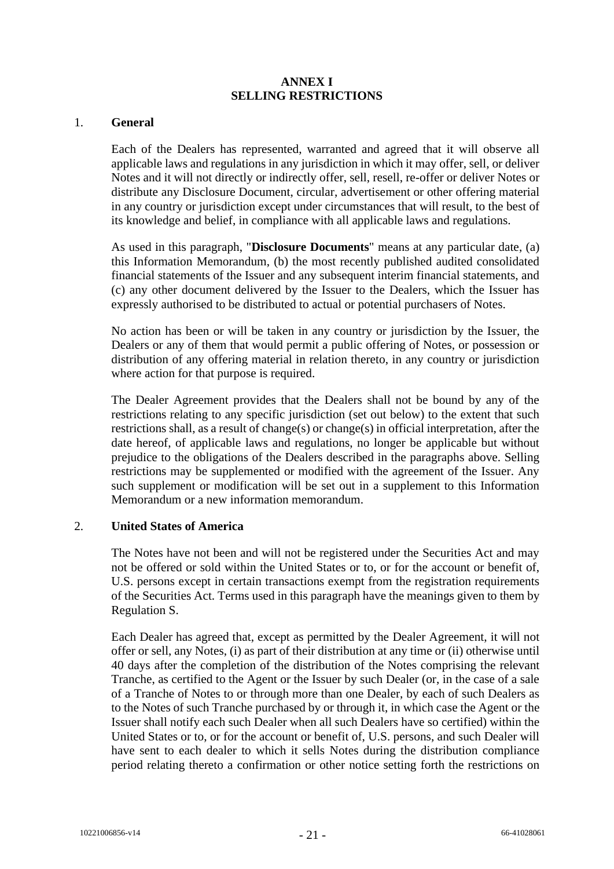### **ANNEX I SELLING RESTRICTIONS**

#### <span id="page-20-0"></span>1. **General**

Each of the Dealers has represented, warranted and agreed that it will observe all applicable laws and regulations in any jurisdiction in which it may offer, sell, or deliver Notes and it will not directly or indirectly offer, sell, resell, re-offer or deliver Notes or distribute any Disclosure Document, circular, advertisement or other offering material in any country or jurisdiction except under circumstances that will result, to the best of its knowledge and belief, in compliance with all applicable laws and regulations.

As used in this paragraph, "**Disclosure Documents**" means at any particular date, (a) this Information Memorandum, (b) the most recently published audited consolidated financial statements of the Issuer and any subsequent interim financial statements, and (c) any other document delivered by the Issuer to the Dealers, which the Issuer has expressly authorised to be distributed to actual or potential purchasers of Notes.

No action has been or will be taken in any country or jurisdiction by the Issuer, the Dealers or any of them that would permit a public offering of Notes, or possession or distribution of any offering material in relation thereto, in any country or jurisdiction where action for that purpose is required.

The Dealer Agreement provides that the Dealers shall not be bound by any of the restrictions relating to any specific jurisdiction (set out below) to the extent that such restrictions shall, as a result of change(s) or change(s) in official interpretation, after the date hereof, of applicable laws and regulations, no longer be applicable but without prejudice to the obligations of the Dealers described in the paragraphs above. Selling restrictions may be supplemented or modified with the agreement of the Issuer. Any such supplement or modification will be set out in a supplement to this Information Memorandum or a new information memorandum.

## 2. **United States of America**

The Notes have not been and will not be registered under the Securities Act and may not be offered or sold within the United States or to, or for the account or benefit of, U.S. persons except in certain transactions exempt from the registration requirements of the Securities Act. Terms used in this paragraph have the meanings given to them by Regulation S.

Each Dealer has agreed that, except as permitted by the Dealer Agreement, it will not offer or sell, any Notes, (i) as part of their distribution at any time or (ii) otherwise until 40 days after the completion of the distribution of the Notes comprising the relevant Tranche, as certified to the Agent or the Issuer by such Dealer (or, in the case of a sale of a Tranche of Notes to or through more than one Dealer, by each of such Dealers as to the Notes of such Tranche purchased by or through it, in which case the Agent or the Issuer shall notify each such Dealer when all such Dealers have so certified) within the United States or to, or for the account or benefit of, U.S. persons, and such Dealer will have sent to each dealer to which it sells Notes during the distribution compliance period relating thereto a confirmation or other notice setting forth the restrictions on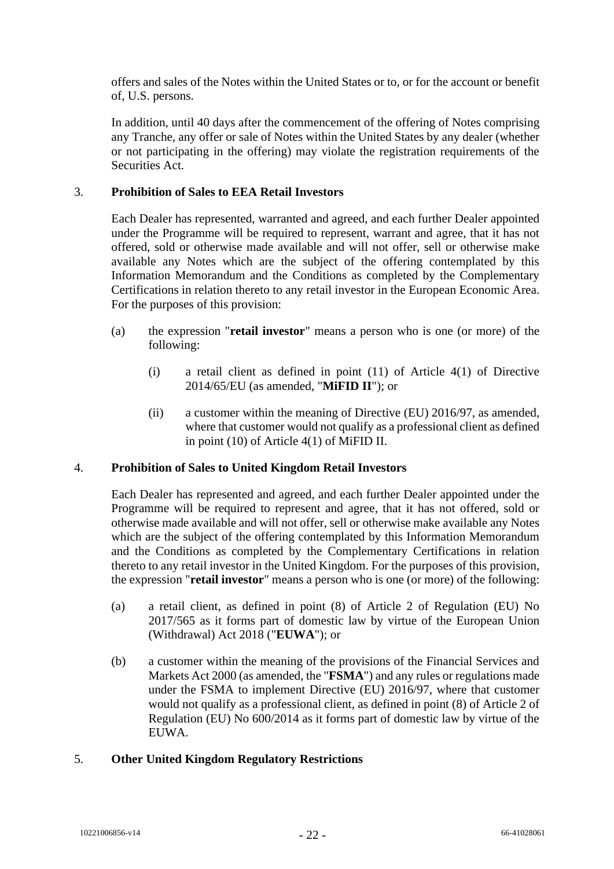offers and sales of the Notes within the United States or to, or for the account or benefit of, U.S. persons.

In addition, until 40 days after the commencement of the offering of Notes comprising any Tranche, any offer or sale of Notes within the United States by any dealer (whether or not participating in the offering) may violate the registration requirements of the Securities Act.

### 3. **Prohibition of Sales to EEA Retail Investors**

Each Dealer has represented, warranted and agreed, and each further Dealer appointed under the Programme will be required to represent, warrant and agree, that it has not offered, sold or otherwise made available and will not offer, sell or otherwise make available any Notes which are the subject of the offering contemplated by this Information Memorandum and the Conditions as completed by the Complementary Certifications in relation thereto to any retail investor in the European Economic Area. For the purposes of this provision:

- (a) the expression "**retail investor**" means a person who is one (or more) of the following:
	- (i) a retail client as defined in point (11) of Article 4(1) of Directive 2014/65/EU (as amended, "**MiFID II**"); or
	- (ii) a customer within the meaning of Directive (EU) 2016/97, as amended, where that customer would not qualify as a professional client as defined in point (10) of Article 4(1) of MiFID II.

#### 4. **Prohibition of Sales to United Kingdom Retail Investors**

Each Dealer has represented and agreed, and each further Dealer appointed under the Programme will be required to represent and agree, that it has not offered, sold or otherwise made available and will not offer, sell or otherwise make available any Notes which are the subject of the offering contemplated by this Information Memorandum and the Conditions as completed by the Complementary Certifications in relation thereto to any retail investor in the United Kingdom. For the purposes of this provision, the expression "**retail investor**" means a person who is one (or more) of the following:

- (a) a retail client, as defined in point (8) of Article 2 of Regulation (EU) No 2017/565 as it forms part of domestic law by virtue of the European Union (Withdrawal) Act 2018 ("**EUWA**"); or
- (b) a customer within the meaning of the provisions of the Financial Services and Markets Act 2000 (as amended, the "**FSMA**") and any rules or regulations made under the FSMA to implement Directive (EU) 2016/97, where that customer would not qualify as a professional client, as defined in point (8) of Article 2 of Regulation (EU) No 600/2014 as it forms part of domestic law by virtue of the EUWA.

#### 5. **Other United Kingdom Regulatory Restrictions**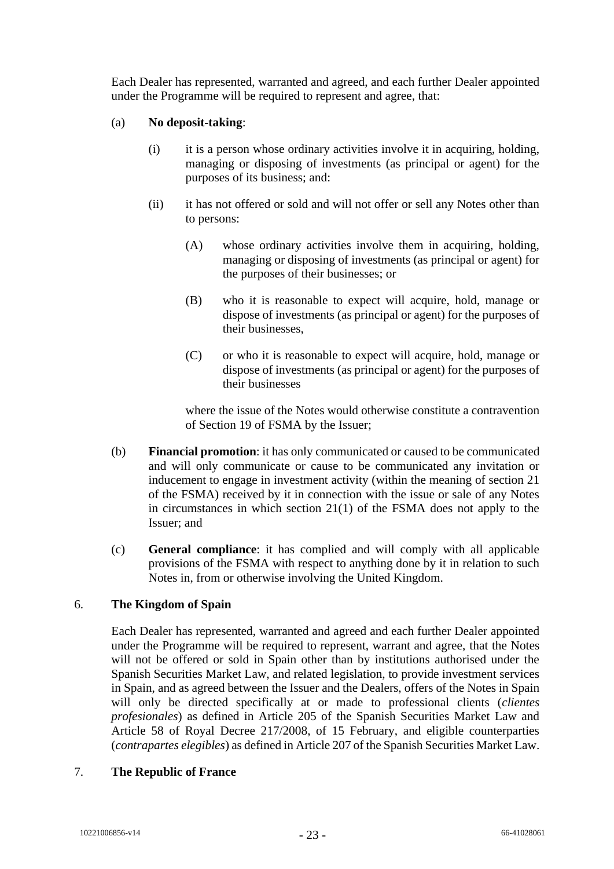Each Dealer has represented, warranted and agreed, and each further Dealer appointed under the Programme will be required to represent and agree, that:

#### (a) **No deposit-taking**:

- (i) it is a person whose ordinary activities involve it in acquiring, holding, managing or disposing of investments (as principal or agent) for the purposes of its business; and:
- (ii) it has not offered or sold and will not offer or sell any Notes other than to persons:
	- (A) whose ordinary activities involve them in acquiring, holding, managing or disposing of investments (as principal or agent) for the purposes of their businesses; or
	- (B) who it is reasonable to expect will acquire, hold, manage or dispose of investments (as principal or agent) for the purposes of their businesses,
	- (C) or who it is reasonable to expect will acquire, hold, manage or dispose of investments (as principal or agent) for the purposes of their businesses

where the issue of the Notes would otherwise constitute a contravention of Section 19 of FSMA by the Issuer;

- (b) **Financial promotion**: it has only communicated or caused to be communicated and will only communicate or cause to be communicated any invitation or inducement to engage in investment activity (within the meaning of section 21 of the FSMA) received by it in connection with the issue or sale of any Notes in circumstances in which section 21(1) of the FSMA does not apply to the Issuer; and
- (c) **General compliance**: it has complied and will comply with all applicable provisions of the FSMA with respect to anything done by it in relation to such Notes in, from or otherwise involving the United Kingdom.

## <span id="page-22-0"></span>6. **The Kingdom of Spain**

Each Dealer has represented, warranted and agreed and each further Dealer appointed under the Programme will be required to represent, warrant and agree, that the Notes will not be offered or sold in Spain other than by institutions authorised under the Spanish Securities Market Law, and related legislation, to provide investment services in Spain, and as agreed between the Issuer and the Dealers, offers of the Notes in Spain will only be directed specifically at or made to professional clients (*clientes profesionales*) as defined in Article 205 of the Spanish Securities Market Law and Article 58 of Royal Decree 217/2008, of 15 February, and eligible counterparties (*contrapartes elegibles*) as defined in Article 207 of the Spanish Securities Market Law.

#### 7. **The Republic of France**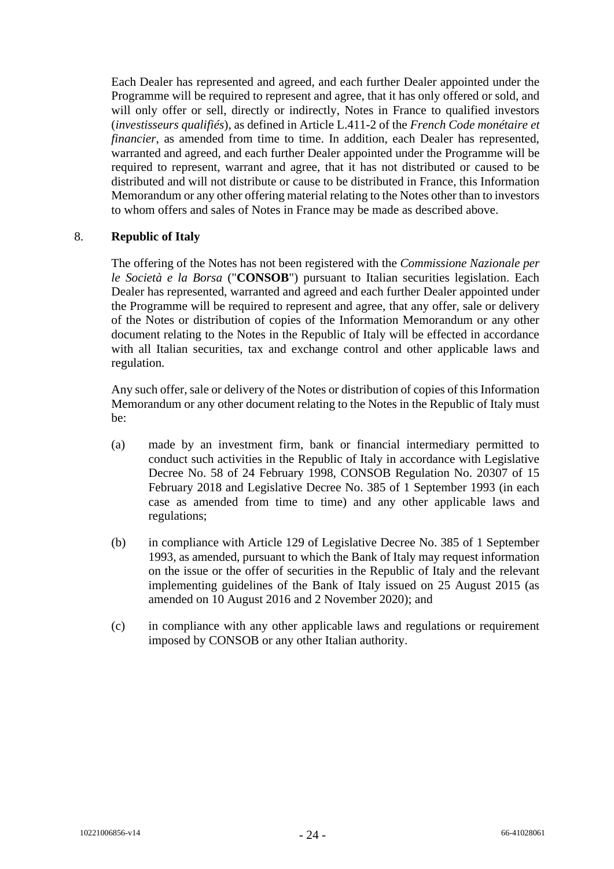Each Dealer has represented and agreed, and each further Dealer appointed under the Programme will be required to represent and agree, that it has only offered or sold, and will only offer or sell, directly or indirectly, Notes in France to qualified investors (*investisseurs qualifiés*), as defined in Article L.411-2 of the *French Code monétaire et financier*, as amended from time to time. In addition, each Dealer has represented, warranted and agreed, and each further Dealer appointed under the Programme will be required to represent, warrant and agree, that it has not distributed or caused to be distributed and will not distribute or cause to be distributed in France, this Information Memorandum or any other offering material relating to the Notes other than to investors to whom offers and sales of Notes in France may be made as described above.

#### 8. **Republic of Italy**

The offering of the Notes has not been registered with the *Commissione Nazionale per le Società e la Borsa* ("**CONSOB**") pursuant to Italian securities legislation. Each Dealer has represented, warranted and agreed and each further Dealer appointed under the Programme will be required to represent and agree, that any offer, sale or delivery of the Notes or distribution of copies of the Information Memorandum or any other document relating to the Notes in the Republic of Italy will be effected in accordance with all Italian securities, tax and exchange control and other applicable laws and regulation.

Any such offer, sale or delivery of the Notes or distribution of copies of this Information Memorandum or any other document relating to the Notes in the Republic of Italy must be:

- (a) made by an investment firm, bank or financial intermediary permitted to conduct such activities in the Republic of Italy in accordance with Legislative Decree No. 58 of 24 February 1998, CONSOB Regulation No. 20307 of 15 February 2018 and Legislative Decree No. 385 of 1 September 1993 (in each case as amended from time to time) and any other applicable laws and regulations;
- (b) in compliance with Article 129 of Legislative Decree No. 385 of 1 September 1993, as amended, pursuant to which the Bank of Italy may request information on the issue or the offer of securities in the Republic of Italy and the relevant implementing guidelines of the Bank of Italy issued on 25 August 2015 (as amended on 10 August 2016 and 2 November 2020); and
- (c) in compliance with any other applicable laws and regulations or requirement imposed by CONSOB or any other Italian authority.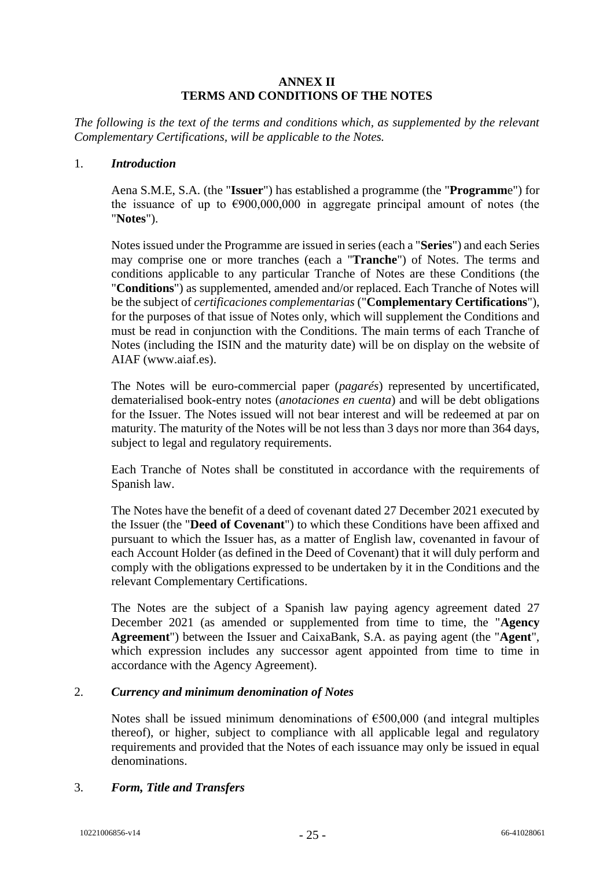#### **ANNEX II TERMS AND CONDITIONS OF THE NOTES**

<span id="page-24-0"></span>*The following is the text of the terms and conditions which, as supplemented by the relevant Complementary Certifications, will be applicable to the Notes.*

#### 1. *Introduction*

Aena S.M.E, S.A. (the "**Issuer**") has established a programme (the "**Programm**e") for the issuance of up to  $\epsilon$ 900,000,000 in aggregate principal amount of notes (the "**Notes**").

Notes issued under the Programme are issued in series (each a "**Series**") and each Series may comprise one or more tranches (each a "**Tranche**") of Notes. The terms and conditions applicable to any particular Tranche of Notes are these Conditions (the "**Conditions**") as supplemented, amended and/or replaced. Each Tranche of Notes will be the subject of *certificaciones complementarias* ("**Complementary Certifications**"), for the purposes of that issue of Notes only, which will supplement the Conditions and must be read in conjunction with the Conditions. The main terms of each Tranche of Notes (including the ISIN and the maturity date) will be on display on the website of AIAF (www.aiaf.es).

The Notes will be euro-commercial paper (*pagarés*) represented by uncertificated, dematerialised book-entry notes (*anotaciones en cuenta*) and will be debt obligations for the Issuer. The Notes issued will not bear interest and will be redeemed at par on maturity. The maturity of the Notes will be not less than 3 days nor more than 364 days, subject to legal and regulatory requirements.

Each Tranche of Notes shall be constituted in accordance with the requirements of Spanish law.

The Notes have the benefit of a deed of covenant dated 27 December 2021 executed by the Issuer (the "**Deed of Covenant**") to which these Conditions have been affixed and pursuant to which the Issuer has, as a matter of English law, covenanted in favour of each Account Holder (as defined in the Deed of Covenant) that it will duly perform and comply with the obligations expressed to be undertaken by it in the Conditions and the relevant Complementary Certifications.

The Notes are the subject of a Spanish law paying agency agreement dated 27 December 2021 (as amended or supplemented from time to time, the "**Agency Agreement**") between the Issuer and CaixaBank, S.A. as paying agent (the "**Agent**", which expression includes any successor agent appointed from time to time in accordance with the Agency Agreement).

#### 2. *Currency and minimum denomination of Notes*

Notes shall be issued minimum denominations of  $\epsilon$ 500,000 (and integral multiples thereof), or higher, subject to compliance with all applicable legal and regulatory requirements and provided that the Notes of each issuance may only be issued in equal denominations.

#### 3. *Form, Title and Transfers*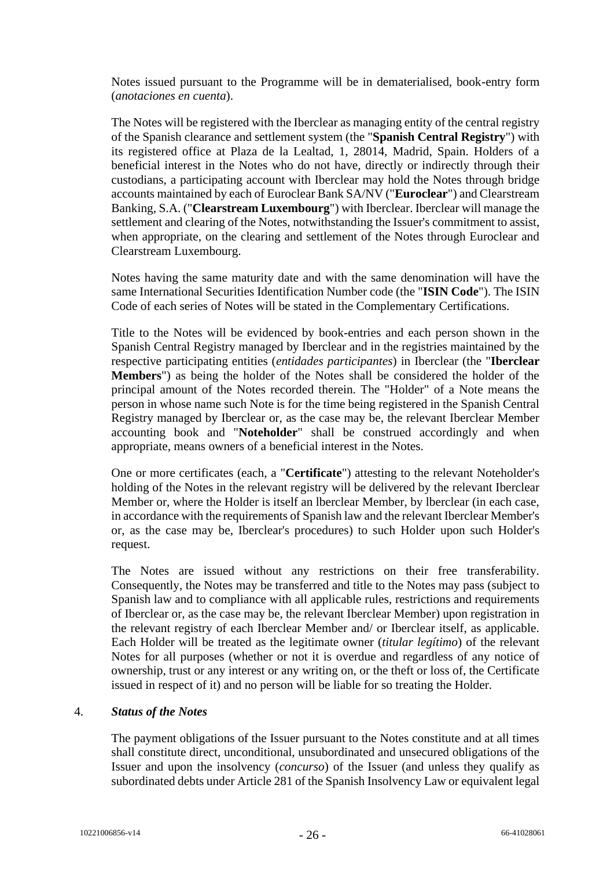Notes issued pursuant to the Programme will be in dematerialised, book-entry form (*anotaciones en cuenta*).

The Notes will be registered with the Iberclear as managing entity of the central registry of the Spanish clearance and settlement system (the "**Spanish Central Registry**") with its registered office at Plaza de la Lealtad, 1, 28014, Madrid, Spain. Holders of a beneficial interest in the Notes who do not have, directly or indirectly through their custodians, a participating account with Iberclear may hold the Notes through bridge accounts maintained by each of Euroclear Bank SA/NV ("**Euroclear**") and Clearstream Banking, S.A. ("**Clearstream Luxembourg**") with Iberclear. Iberclear will manage the settlement and clearing of the Notes, notwithstanding the Issuer's commitment to assist, when appropriate, on the clearing and settlement of the Notes through Euroclear and Clearstream Luxembourg.

Notes having the same maturity date and with the same denomination will have the same International Securities Identification Number code (the "**ISIN Code**"). The ISIN Code of each series of Notes will be stated in the Complementary Certifications.

Title to the Notes will be evidenced by book-entries and each person shown in the Spanish Central Registry managed by Iberclear and in the registries maintained by the respective participating entities (*entidades participantes*) in Iberclear (the "**Iberclear Members**") as being the holder of the Notes shall be considered the holder of the principal amount of the Notes recorded therein. The "Holder" of a Note means the person in whose name such Note is for the time being registered in the Spanish Central Registry managed by Iberclear or, as the case may be, the relevant Iberclear Member accounting book and "**Noteholder**" shall be construed accordingly and when appropriate, means owners of a beneficial interest in the Notes.

One or more certificates (each, a "**Certificate**") attesting to the relevant Noteholder's holding of the Notes in the relevant registry will be delivered by the relevant Iberclear Member or, where the Holder is itself an lberclear Member, by lberclear (in each case, in accordance with the requirements of Spanish law and the relevant Iberclear Member's or, as the case may be, Iberclear's procedures) to such Holder upon such Holder's request.

The Notes are issued without any restrictions on their free transferability. Consequently, the Notes may be transferred and title to the Notes may pass (subject to Spanish law and to compliance with all applicable rules, restrictions and requirements of Iberclear or, as the case may be, the relevant Iberclear Member) upon registration in the relevant registry of each Iberclear Member and/ or Iberclear itself, as applicable. Each Holder will be treated as the legitimate owner (*titular legítimo*) of the relevant Notes for all purposes (whether or not it is overdue and regardless of any notice of ownership, trust or any interest or any writing on, or the theft or loss of, the Certificate issued in respect of it) and no person will be liable for so treating the Holder.

#### 4. *Status of the Notes*

The payment obligations of the Issuer pursuant to the Notes constitute and at all times shall constitute direct, unconditional, unsubordinated and unsecured obligations of the Issuer and upon the insolvency (*concurso*) of the Issuer (and unless they qualify as subordinated debts under Article 281 of the Spanish Insolvency Law or equivalent legal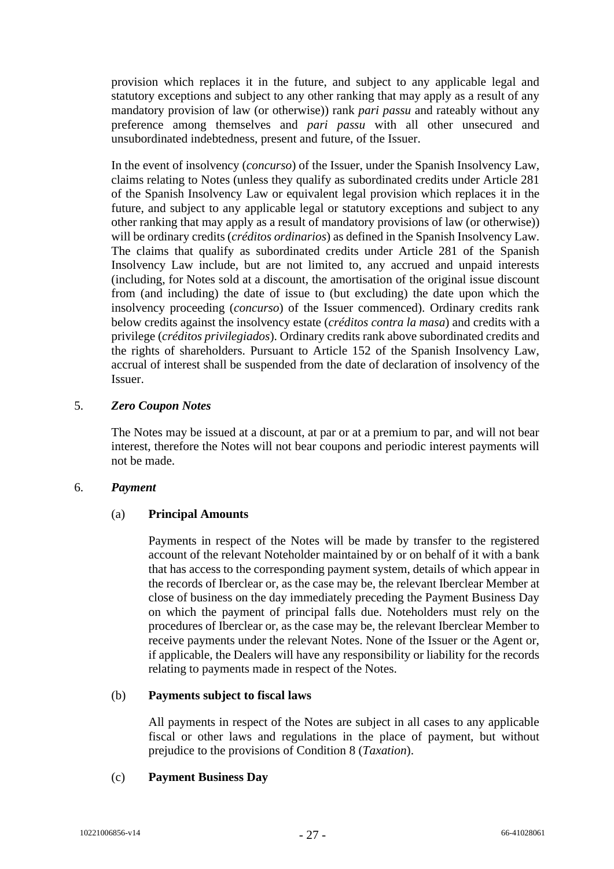provision which replaces it in the future, and subject to any applicable legal and statutory exceptions and subject to any other ranking that may apply as a result of any mandatory provision of law (or otherwise)) rank *pari passu* and rateably without any preference among themselves and *pari passu* with all other unsecured and unsubordinated indebtedness, present and future, of the Issuer.

In the event of insolvency (*concurso*) of the Issuer, under the Spanish Insolvency Law, claims relating to Notes (unless they qualify as subordinated credits under Article 281 of the Spanish Insolvency Law or equivalent legal provision which replaces it in the future, and subject to any applicable legal or statutory exceptions and subject to any other ranking that may apply as a result of mandatory provisions of law (or otherwise)) will be ordinary credits (*créditos ordinarios*) as defined in the Spanish Insolvency Law. The claims that qualify as subordinated credits under Article 281 of the Spanish Insolvency Law include, but are not limited to, any accrued and unpaid interests (including, for Notes sold at a discount, the amortisation of the original issue discount from (and including) the date of issue to (but excluding) the date upon which the insolvency proceeding (*concurso*) of the Issuer commenced). Ordinary credits rank below credits against the insolvency estate (*créditos contra la masa*) and credits with a privilege (*créditos privilegiados*). Ordinary credits rank above subordinated credits and the rights of shareholders. Pursuant to Article 152 of the Spanish Insolvency Law, accrual of interest shall be suspended from the date of declaration of insolvency of the Issuer.

#### 5. *Zero Coupon Notes*

The Notes may be issued at a discount, at par or at a premium to par, and will not bear interest, therefore the Notes will not bear coupons and periodic interest payments will not be made.

#### 6. *Payment*

#### (a) **Principal Amounts**

Payments in respect of the Notes will be made by transfer to the registered account of the relevant Noteholder maintained by or on behalf of it with a bank that has access to the corresponding payment system, details of which appear in the records of Iberclear or, as the case may be, the relevant Iberclear Member at close of business on the day immediately preceding the Payment Business Day on which the payment of principal falls due. Noteholders must rely on the procedures of Iberclear or, as the case may be, the relevant Iberclear Member to receive payments under the relevant Notes. None of the Issuer or the Agent or, if applicable, the Dealers will have any responsibility or liability for the records relating to payments made in respect of the Notes.

#### (b) **Payments subject to fiscal laws**

All payments in respect of the Notes are subject in all cases to any applicable fiscal or other laws and regulations in the place of payment, but without prejudice to the provisions of Condition [8](#page-28-0) (*Taxation*).

## (c) **Payment Business Day**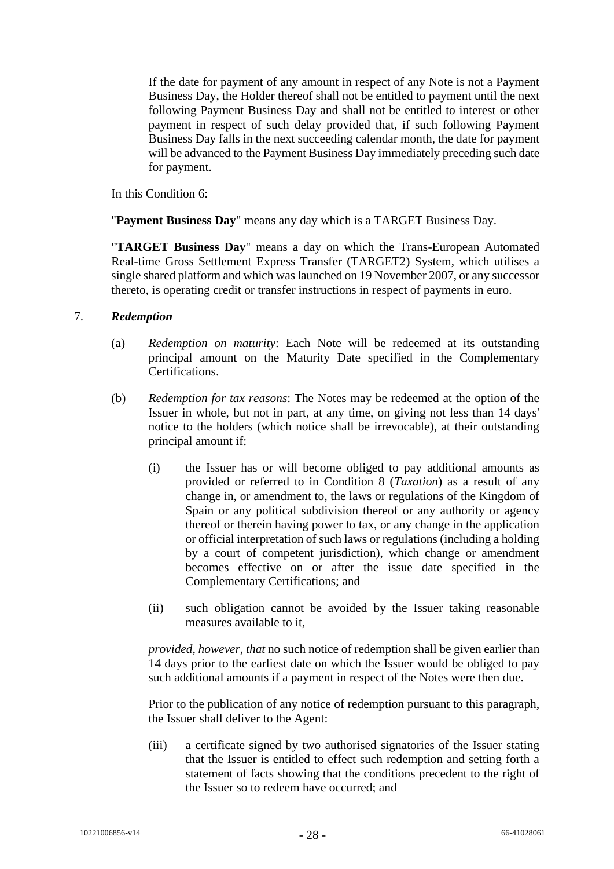If the date for payment of any amount in respect of any Note is not a Payment Business Day, the Holder thereof shall not be entitled to payment until the next following Payment Business Day and shall not be entitled to interest or other payment in respect of such delay provided that, if such following Payment Business Day falls in the next succeeding calendar month, the date for payment will be advanced to the Payment Business Day immediately preceding such date for payment.

In this Condition [6:](#page-22-0)

"**Payment Business Day**" means any day which is a TARGET Business Day.

"**TARGET Business Day**" means a day on which the Trans-European Automated Real-time Gross Settlement Express Transfer (TARGET2) System, which utilises a single shared platform and which was launched on 19 November 2007, or any successor thereto, is operating credit or transfer instructions in respect of payments in euro.

## 7. *Redemption*

- (a) *Redemption on maturity*: Each Note will be redeemed at its outstanding principal amount on the Maturity Date specified in the Complementary Certifications.
- (b) *Redemption for tax reasons*: The Notes may be redeemed at the option of the Issuer in whole, but not in part, at any time, on giving not less than 14 days' notice to the holders (which notice shall be irrevocable), at their outstanding principal amount if:
	- (i) the Issuer has or will become obliged to pay additional amounts as provided or referred to in Condition 8 (*Taxation*) as a result of any change in, or amendment to, the laws or regulations of the Kingdom of Spain or any political subdivision thereof or any authority or agency thereof or therein having power to tax, or any change in the application or official interpretation of such laws or regulations (including a holding by a court of competent jurisdiction), which change or amendment becomes effective on or after the issue date specified in the Complementary Certifications; and
	- (ii) such obligation cannot be avoided by the Issuer taking reasonable measures available to it,

*provided, however, that* no such notice of redemption shall be given earlier than 14 days prior to the earliest date on which the Issuer would be obliged to pay such additional amounts if a payment in respect of the Notes were then due.

Prior to the publication of any notice of redemption pursuant to this paragraph, the Issuer shall deliver to the Agent:

(iii) a certificate signed by two authorised signatories of the Issuer stating that the Issuer is entitled to effect such redemption and setting forth a statement of facts showing that the conditions precedent to the right of the Issuer so to redeem have occurred; and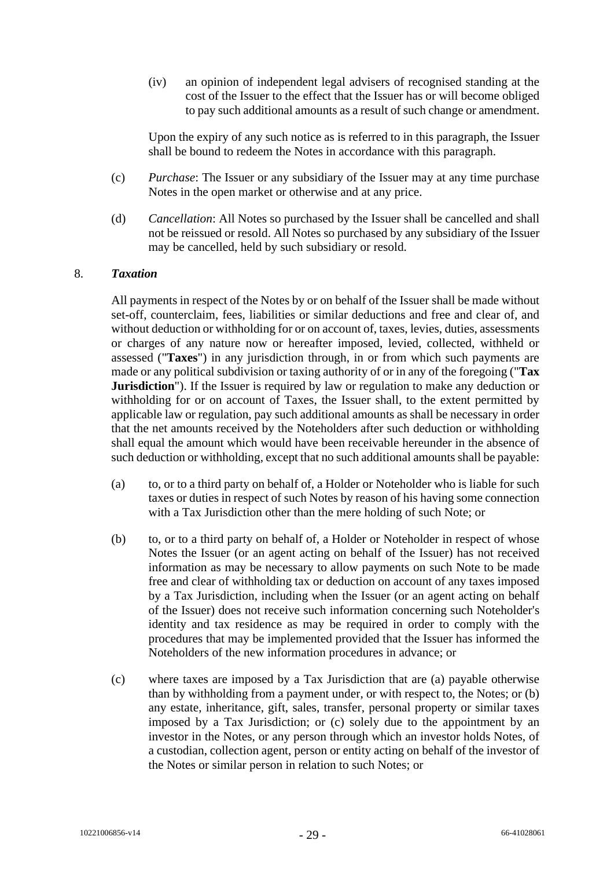(iv) an opinion of independent legal advisers of recognised standing at the cost of the Issuer to the effect that the Issuer has or will become obliged to pay such additional amounts as a result of such change or amendment.

Upon the expiry of any such notice as is referred to in this paragraph, the Issuer shall be bound to redeem the Notes in accordance with this paragraph.

- (c) *Purchase*: The Issuer or any subsidiary of the Issuer may at any time purchase Notes in the open market or otherwise and at any price.
- (d) *Cancellation*: All Notes so purchased by the Issuer shall be cancelled and shall not be reissued or resold. All Notes so purchased by any subsidiary of the Issuer may be cancelled, held by such subsidiary or resold.

#### <span id="page-28-0"></span>8. *Taxation*

All payments in respect of the Notes by or on behalf of the Issuer shall be made without set-off, counterclaim, fees, liabilities or similar deductions and free and clear of, and without deduction or withholding for or on account of, taxes, levies, duties, assessments or charges of any nature now or hereafter imposed, levied, collected, withheld or assessed ("**Taxes**") in any jurisdiction through, in or from which such payments are made or any political subdivision or taxing authority of or in any of the foregoing ("**Tax Jurisdiction**"). If the Issuer is required by law or regulation to make any deduction or withholding for or on account of Taxes, the Issuer shall, to the extent permitted by applicable law or regulation, pay such additional amounts as shall be necessary in order that the net amounts received by the Noteholders after such deduction or withholding shall equal the amount which would have been receivable hereunder in the absence of such deduction or withholding, except that no such additional amounts shall be payable:

- (a) to, or to a third party on behalf of, a Holder or Noteholder who is liable for such taxes or duties in respect of such Notes by reason of his having some connection with a Tax Jurisdiction other than the mere holding of such Note; or
- (b) to, or to a third party on behalf of, a Holder or Noteholder in respect of whose Notes the Issuer (or an agent acting on behalf of the Issuer) has not received information as may be necessary to allow payments on such Note to be made free and clear of withholding tax or deduction on account of any taxes imposed by a Tax Jurisdiction, including when the Issuer (or an agent acting on behalf of the Issuer) does not receive such information concerning such Noteholder's identity and tax residence as may be required in order to comply with the procedures that may be implemented provided that the Issuer has informed the Noteholders of the new information procedures in advance; or
- (c) where taxes are imposed by a Tax Jurisdiction that are (a) payable otherwise than by withholding from a payment under, or with respect to, the Notes; or (b) any estate, inheritance, gift, sales, transfer, personal property or similar taxes imposed by a Tax Jurisdiction; or (c) solely due to the appointment by an investor in the Notes, or any person through which an investor holds Notes, of a custodian, collection agent, person or entity acting on behalf of the investor of the Notes or similar person in relation to such Notes; or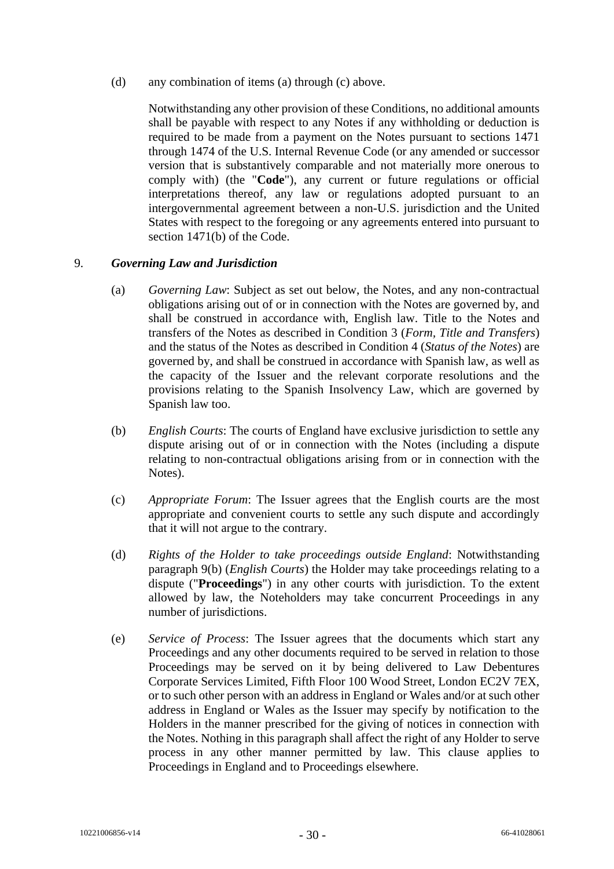(d) any combination of items (a) through (c) above.

Notwithstanding any other provision of these Conditions, no additional amounts shall be payable with respect to any Notes if any withholding or deduction is required to be made from a payment on the Notes pursuant to sections 1471 through 1474 of the U.S. Internal Revenue Code (or any amended or successor version that is substantively comparable and not materially more onerous to comply with) (the "**Code**"), any current or future regulations or official interpretations thereof, any law or regulations adopted pursuant to an intergovernmental agreement between a non-U.S. jurisdiction and the United States with respect to the foregoing or any agreements entered into pursuant to section 1471(b) of the Code.

#### 9. *Governing Law and Jurisdiction*

- (a) *Governing Law*: Subject as set out below, the Notes, and any non-contractual obligations arising out of or in connection with the Notes are governed by, and shall be construed in accordance with, English law. Title to the Notes and transfers of the Notes as described in Condition 3 (*Form, Title and Transfers*) and the status of the Notes as described in Condition 4 (*Status of the Notes*) are governed by, and shall be construed in accordance with Spanish law, as well as the capacity of the Issuer and the relevant corporate resolutions and the provisions relating to the Spanish Insolvency Law, which are governed by Spanish law too.
- (b) *English Courts*: The courts of England have exclusive jurisdiction to settle any dispute arising out of or in connection with the Notes (including a dispute relating to non-contractual obligations arising from or in connection with the Notes).
- (c) *Appropriate Forum*: The Issuer agrees that the English courts are the most appropriate and convenient courts to settle any such dispute and accordingly that it will not argue to the contrary.
- (d) *Rights of the Holder to take proceedings outside England*: Notwithstanding paragraph 9(b) (*English Courts*) the Holder may take proceedings relating to a dispute ("**Proceedings**") in any other courts with jurisdiction. To the extent allowed by law, the Noteholders may take concurrent Proceedings in any number of jurisdictions.
- (e) *Service of Process*: The Issuer agrees that the documents which start any Proceedings and any other documents required to be served in relation to those Proceedings may be served on it by being delivered to Law Debentures Corporate Services Limited, Fifth Floor 100 Wood Street, London EC2V 7EX, or to such other person with an address in England or Wales and/or at such other address in England or Wales as the Issuer may specify by notification to the Holders in the manner prescribed for the giving of notices in connection with the Notes. Nothing in this paragraph shall affect the right of any Holder to serve process in any other manner permitted by law. This clause applies to Proceedings in England and to Proceedings elsewhere.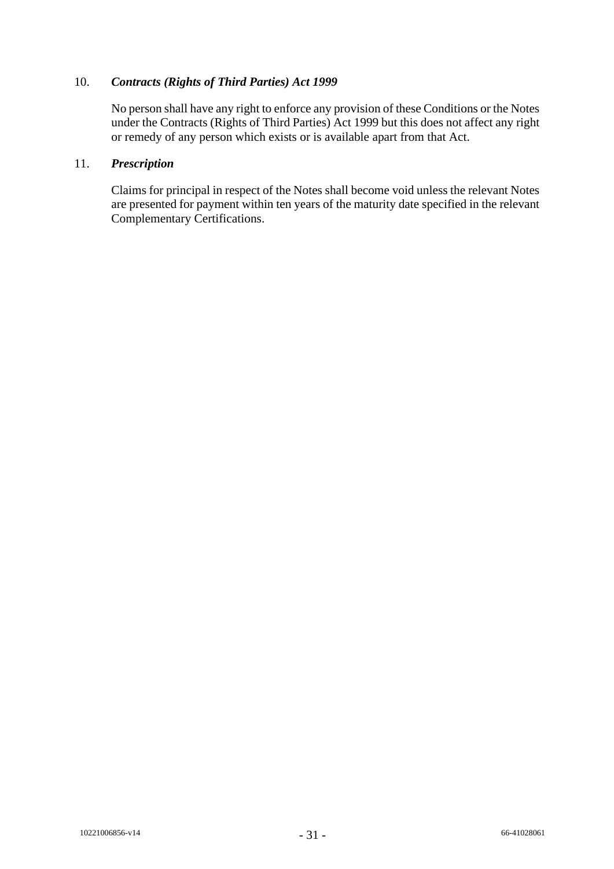## 10. *Contracts (Rights of Third Parties) Act 1999*

No person shall have any right to enforce any provision of these Conditions or the Notes under the Contracts (Rights of Third Parties) Act 1999 but this does not affect any right or remedy of any person which exists or is available apart from that Act.

#### 11. *Prescription*

Claims for principal in respect of the Notes shall become void unless the relevant Notes are presented for payment within ten years of the maturity date specified in the relevant Complementary Certifications.